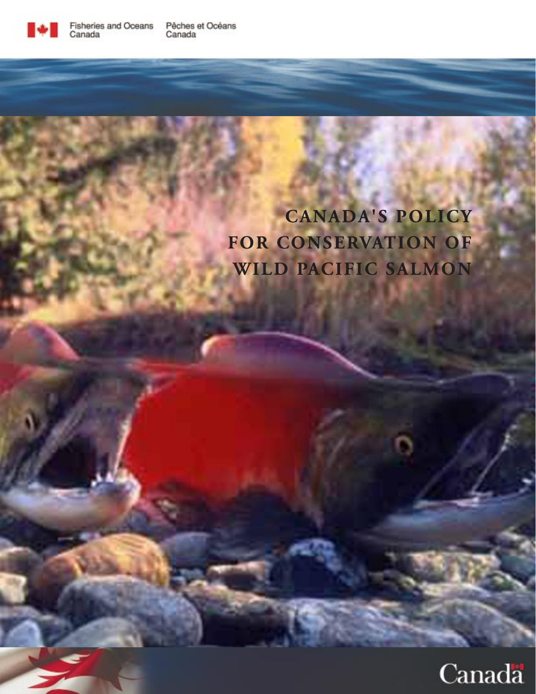

# CANADA'S POLICY FOR CONSERVATION OF WILD PACIFIC SALMON

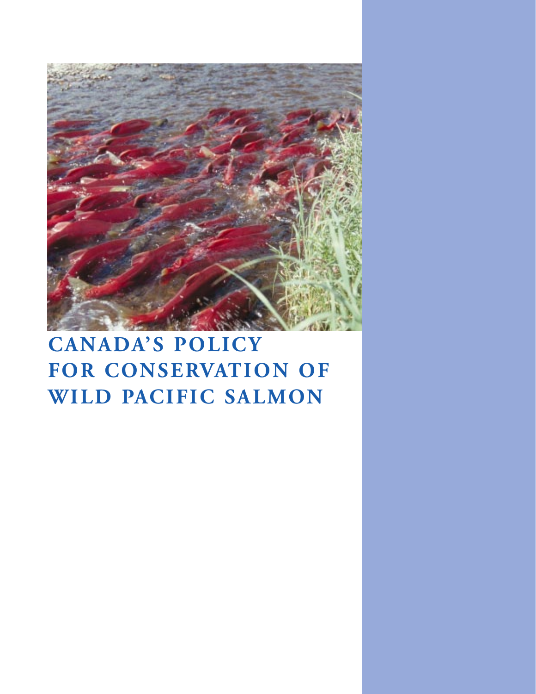

# **CANADA'S POLICY FOR CONSERVATION OF WILD PACIFIC SALMON**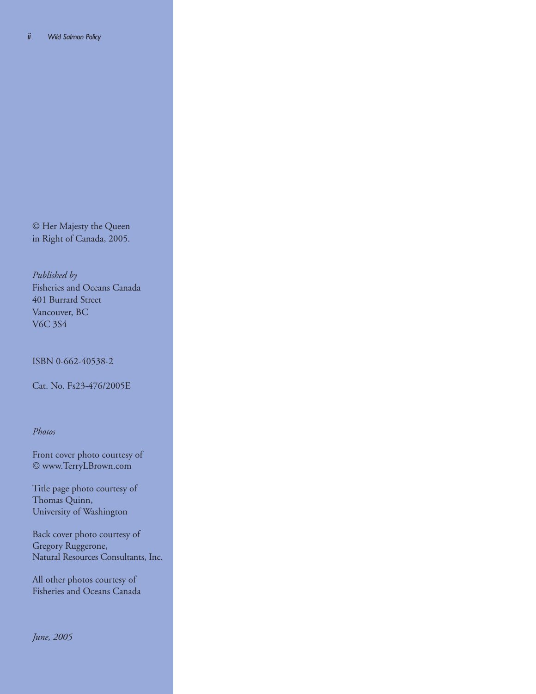© Her Majesty the Queen in Right of Canada, 2005.

*Published by* Fisheries and Oceans Canada 401 Burrard Street Vancouver, BC V6C 3S4

ISBN 0-662-40538-2

Cat. No. Fs23-476/2005E

*Photos* 

Front cover photo courtesy of © www.TerryLBrown.com

Title page photo courtesy of Thomas Quinn, University of Washington

Back cover photo courtesy of Gregory Ruggerone, Natural Resources Consultants, Inc.

All other photos courtesy of Fisheries and Oceans Canada

*June, 2005*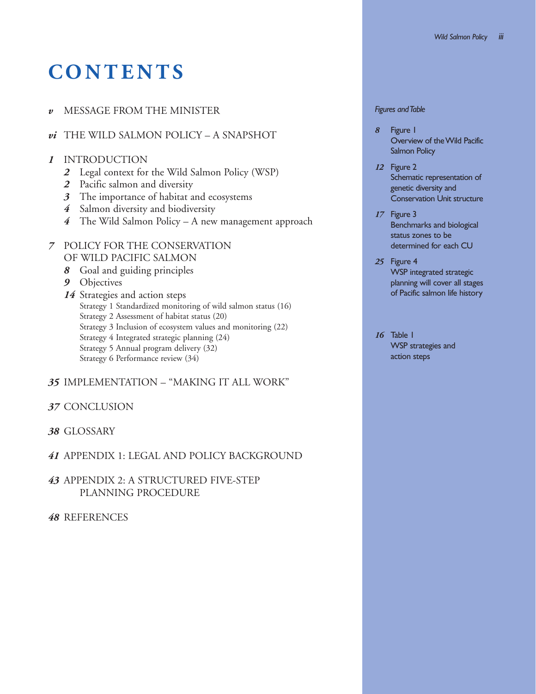# **CONTENTS**

## *v* MESSAGE FROM THE MINISTER

## *vi* THE WILD SALMON POLICY – A SNAPSHOT

## *1* INTRODUCTION

- *2* Legal context for the Wild Salmon Policy (WSP)
- *2* Pacific salmon and diversity
- *3* The importance of habitat and ecosystems
- *4* Salmon diversity and biodiversity
- *4* The Wild Salmon Policy A new management approach

#### *7* POLICY FOR THE CONSERVATION OF WILD PACIFIC SALMON

- *8* Goal and guiding principles
- *9* Objectives

### *14* Strategies and action steps

Strategy 1 Standardized monitoring of wild salmon status (16) Strategy 2 Assessment of habitat status (20) Strategy 3 Inclusion of ecosystem values and monitoring (22) Strategy 4 Integrated strategic planning (24) Strategy 5 Annual program delivery (32) Strategy 6 Performance review (34)

## *35* IMPLEMENTATION – "MAKING IT ALL WORK"

## *37* CONCLUSION

## *38* GLOSSARY

## *41* APPENDIX 1: LEGAL AND POLICY BACKGROUND

*43* APPENDIX 2: A STRUCTURED FIVE-STEP PLANNING PROCEDURE

### *48* REFERENCES

#### *Figures and Table*

- *8* Figure 1 Overview of the Wild Pacific Salmon Policy
- *12* Figure 2 Schematic representation of genetic diversity and Conservation Unit structure
- *17* Figure 3 Benchmarks and biological status zones to be determined for each CU
- *25* Figure 4 WSP integrated strategic planning will cover all stages of Pacific salmon life history
- *16* Table 1 WSP strategies and action steps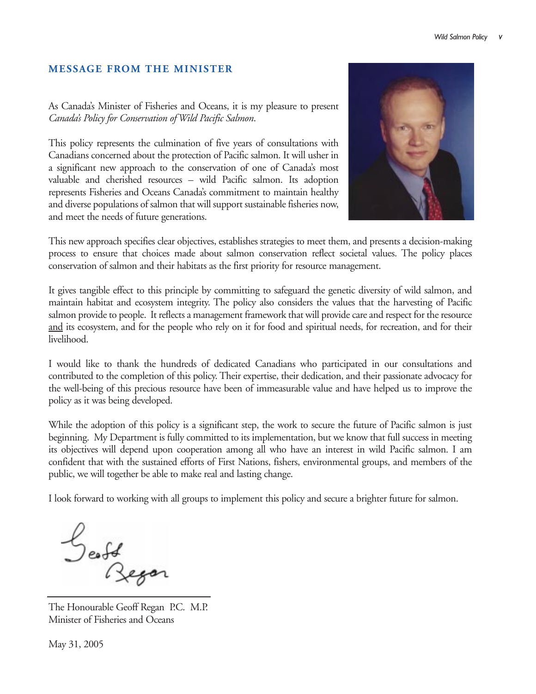#### **MESSAGE FROM THE MINISTER**

As Canada's Minister of Fisheries and Oceans, it is my pleasure to present *Canada's Policy for Conservation of Wild Pacific Salmon*.

This policy represents the culmination of five years of consultations with Canadians concerned about the protection of Pacific salmon. It will usher in a significant new approach to the conservation of one of Canada's most valuable and cherished resources – wild Pacific salmon. Its adoption represents Fisheries and Oceans Canada's commitment to maintain healthy and diverse populations of salmon that will support sustainable fisheries now, and meet the needs of future generations.



This new approach specifies clear objectives, establishes strategies to meet them, and presents a decision-making process to ensure that choices made about salmon conservation reflect societal values. The policy places conservation of salmon and their habitats as the first priority for resource management.

It gives tangible effect to this principle by committing to safeguard the genetic diversity of wild salmon, and maintain habitat and ecosystem integrity. The policy also considers the values that the harvesting of Pacific salmon provide to people. It reflects a management framework that will provide care and respect for the resource and its ecosystem, and for the people who rely on it for food and spiritual needs, for recreation, and for their livelihood.

I would like to thank the hundreds of dedicated Canadians who participated in our consultations and contributed to the completion of this policy. Their expertise, their dedication, and their passionate advocacy for the well-being of this precious resource have been of immeasurable value and have helped us to improve the policy as it was being developed.

While the adoption of this policy is a significant step, the work to secure the future of Pacific salmon is just beginning. My Department is fully committed to its implementation, but we know that full success in meeting its objectives will depend upon cooperation among all who have an interest in wild Pacific salmon. I am confident that with the sustained efforts of First Nations, fishers, environmental groups, and members of the public, we will together be able to make real and lasting change.

I look forward to working with all groups to implement this policy and secure a brighter future for salmon.

Geoft<br>Began

The Honourable Geoff Regan P.C. M.P. Minister of Fisheries and Oceans

May 31, 2005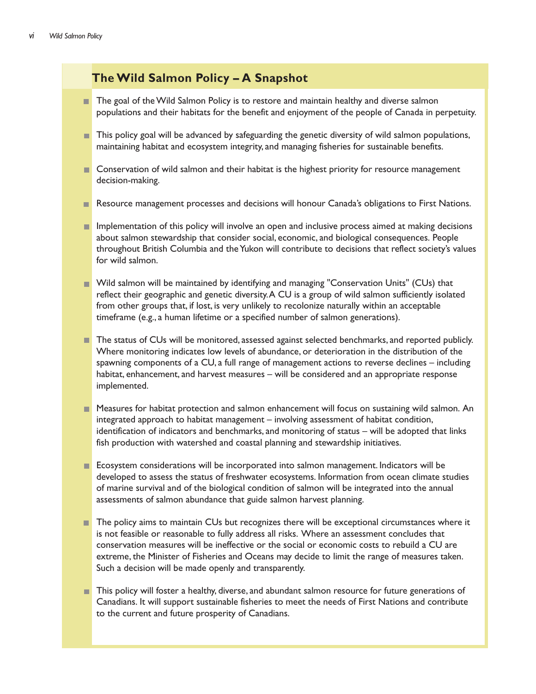## **The Wild Salmon Policy – A Snapshot**

- The goal of the Wild Salmon Policy is to restore and maintain healthy and diverse salmon populations and their habitats for the benefit and enjoyment of the people of Canada in perpetuity.
- **This policy goal will be advanced by safeguarding the genetic diversity of wild salmon populations,** maintaining habitat and ecosystem integrity, and managing fisheries for sustainable benefits.
- **Conservation of wild salmon and their habitat is the highest priority for resource management** decision-making.
- Resource management processes and decisions will honour Canada's obligations to First Nations.
- **In** Implementation of this policy will involve an open and inclusive process aimed at making decisions about salmon stewardship that consider social, economic, and biological consequences. People throughout British Columbia and the Yukon will contribute to decisions that reflect society's values for wild salmon.
- **Notai** Wild salmon will be maintained by identifying and managing "Conservation Units" (CUs) that reflect their geographic and genetic diversity. A CU is a group of wild salmon sufficiently isolated from other groups that, if lost, is very unlikely to recolonize naturally within an acceptable timeframe (e.g., a human lifetime or a specified number of salmon generations).
- **The status of CUs will be monitored, assessed against selected benchmarks, and reported publicly.** Where monitoring indicates low levels of abundance, or deterioration in the distribution of the spawning components of a CU, a full range of management actions to reverse declines – including habitat, enhancement, and harvest measures – will be considered and an appropriate response implemented.
- **Measures for habitat protection and salmon enhancement will focus on sustaining wild salmon. An** integrated approach to habitat management – involving assessment of habitat condition, identification of indicators and benchmarks, and monitoring of status – will be adopted that links fish production with watershed and coastal planning and stewardship initiatives.
- **EX** Ecosystem considerations will be incorporated into salmon management. Indicators will be developed to assess the status of freshwater ecosystems. Information from ocean climate studies of marine survival and of the biological condition of salmon will be integrated into the annual assessments of salmon abundance that guide salmon harvest planning.
- $\blacksquare$  The policy aims to maintain CUs but recognizes there will be exceptional circumstances where it is not feasible or reasonable to fully address all risks. Where an assessment concludes that conservation measures will be ineffective or the social or economic costs to rebuild a CU are extreme, the Minister of Fisheries and Oceans may decide to limit the range of measures taken. Such a decision will be made openly and transparently.
- $\blacksquare$  This policy will foster a healthy, diverse, and abundant salmon resource for future generations of Canadians. It will support sustainable fisheries to meet the needs of First Nations and contribute to the current and future prosperity of Canadians.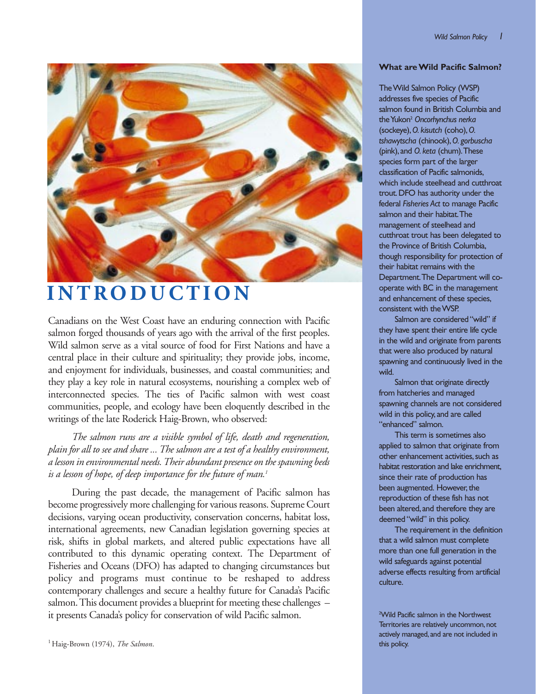

## **INTRODUCTION**

Canadians on the West Coast have an enduring connection with Pacific salmon forged thousands of years ago with the arrival of the first peoples. Wild salmon serve as a vital source of food for First Nations and have a central place in their culture and spirituality; they provide jobs, income, and enjoyment for individuals, businesses, and coastal communities; and they play a key role in natural ecosystems, nourishing a complex web of interconnected species. The ties of Pacific salmon with west coast communities, people, and ecology have been eloquently described in the writings of the late Roderick Haig-Brown, who observed:

*The salmon runs are a visible symbol of life, death and regeneration, plain for all to see and share ... The salmon are a test of a healthy environment, a lesson in environmental needs. Their abundant presence on the spawning beds is a lesson of hope, of deep importance for the future of man.1*

During the past decade, the management of Pacific salmon has become progressively more challenging for various reasons. Supreme Court decisions, varying ocean productivity, conservation concerns, habitat loss, international agreements, new Canadian legislation governing species at risk, shifts in global markets, and altered public expectations have all contributed to this dynamic operating context. The Department of Fisheries and Oceans (DFO) has adapted to changing circumstances but policy and programs must continue to be reshaped to address contemporary challenges and secure a healthy future for Canada's Pacific salmon. This document provides a blueprint for meeting these challenges – it presents Canada's policy for conservation of wild Pacific salmon.

<sup>1</sup> Haig-Brown (1974), *The Salmon*.

#### **What are Wild Pacific Salmon?**

The Wild Salmon Policy (WSP) addresses five species of Pacific salmon found in British Columbia and the Yukon2 *Oncorhynchus nerka* (sockeye),*O. kisutch* (coho),*O. tshawytscha* (chinook),*O. gorbuscha* (pink),and *O. keta* (chum).These species form part of the larger classification of Pacific salmonids, which include steelhead and cutthroat trout.DFO has authority under the federal *Fisheries Act* to manage Pacific salmon and their habitat.The management of steelhead and cutthroat trout has been delegated to the Province of British Columbia, though responsibility for protection of their habitat remains with the Department.The Department will cooperate with BC in the management and enhancement of these species, consistent with the WSP.

Salmon are considered "wild" if they have spent their entire life cycle in the wild and originate from parents that were also produced by natural spawning and continuously lived in the wild.

Salmon that originate directly from hatcheries and managed spawning channels are not considered wild in this policy, and are called "enhanced" salmon.

This term is sometimes also applied to salmon that originate from other enhancement activities, such as habitat restoration and lake enrichment. since their rate of production has been augmented. However, the reproduction of these fish has not been altered, and therefore they are deemed "wild" in this policy.

The requirement in the definition that a wild salmon must complete more than one full generation in the wild safeguards against potential adverse effects resulting from artificial culture.

2 Wild Pacific salmon in the Northwest Territories are relatively uncommon, not actively managed,and are not included in this policy.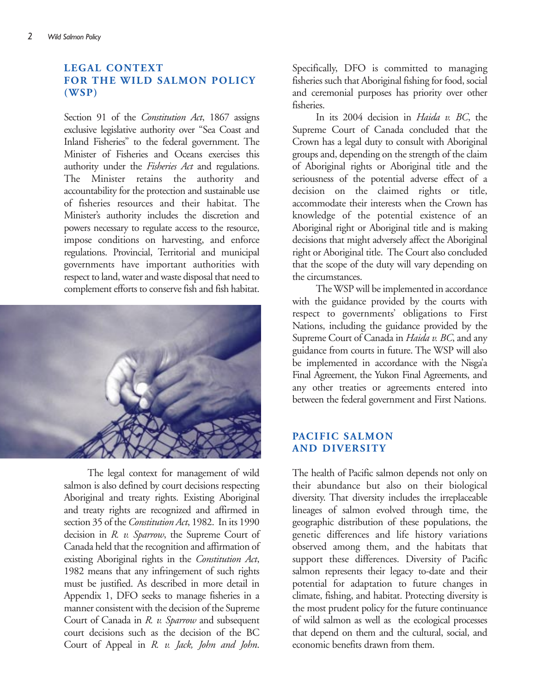#### **LEGAL CONTEXT FOR THE WILD SALMON POLICY (WSP)**

Section 91 of the *Constitution Act*, 1867 assigns exclusive legislative authority over "Sea Coast and Inland Fisheries" to the federal government. The Minister of Fisheries and Oceans exercises this authority under the *Fisheries Act* and regulations. The Minister retains the authority and accountability for the protection and sustainable use of fisheries resources and their habitat. The Minister's authority includes the discretion and powers necessary to regulate access to the resource, impose conditions on harvesting, and enforce regulations. Provincial, Territorial and municipal governments have important authorities with respect to land, water and waste disposal that need to complement efforts to conserve fish and fish habitat.



The legal context for management of wild salmon is also defined by court decisions respecting Aboriginal and treaty rights. Existing Aboriginal and treaty rights are recognized and affirmed in section 35 of the *Constitution Act*, 1982. In its 1990 decision in *R. v. Sparrow*, the Supreme Court of Canada held that the recognition and affirmation of existing Aboriginal rights in the *Constitution Act*, 1982 means that any infringement of such rights must be justified. As described in more detail in Appendix 1, DFO seeks to manage fisheries in a manner consistent with the decision of the Supreme Court of Canada in *R. v. Sparrow* and subsequent court decisions such as the decision of the BC Court of Appeal in *R. v. Jack, John and John*.

Specifically, DFO is committed to managing fisheries such that Aboriginal fishing for food, social and ceremonial purposes has priority over other fisheries.

In its 2004 decision in *Haida v. BC*, the Supreme Court of Canada concluded that the Crown has a legal duty to consult with Aboriginal groups and, depending on the strength of the claim of Aboriginal rights or Aboriginal title and the seriousness of the potential adverse effect of a decision on the claimed rights or title, accommodate their interests when the Crown has knowledge of the potential existence of an Aboriginal right or Aboriginal title and is making decisions that might adversely affect the Aboriginal right or Aboriginal title. The Court also concluded that the scope of the duty will vary depending on the circumstances.

The WSP will be implemented in accordance with the guidance provided by the courts with respect to governments' obligations to First Nations, including the guidance provided by the Supreme Court of Canada in *Haida v. BC*, and any guidance from courts in future. The WSP will also be implemented in accordance with the Nisga'a Final Agreement, the Yukon Final Agreements, and any other treaties or agreements entered into between the federal government and First Nations.

## PACIFIC SALMON **AND DIVERSITY**

The health of Pacific salmon depends not only on their abundance but also on their biological diversity. That diversity includes the irreplaceable lineages of salmon evolved through time, the geographic distribution of these populations, the genetic differences and life history variations observed among them, and the habitats that support these differences. Diversity of Pacific salmon represents their legacy to-date and their potential for adaptation to future changes in climate, fishing, and habitat. Protecting diversity is the most prudent policy for the future continuance of wild salmon as well as the ecological processes that depend on them and the cultural, social, and economic benefits drawn from them.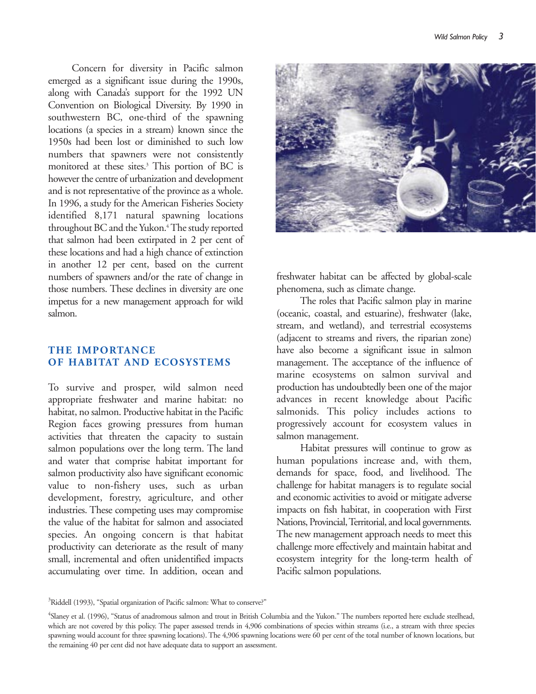Concern for diversity in Pacific salmon emerged as a significant issue during the 1990s, along with Canada's support for the 1992 UN Convention on Biological Diversity. By 1990 in southwestern BC, one-third of the spawning locations (a species in a stream) known since the 1950s had been lost or diminished to such low numbers that spawners were not consistently monitored at these sites.3 This portion of BC is however the centre of urbanization and development and is not representative of the province as a whole. In 1996, a study for the American Fisheries Society identified 8,171 natural spawning locations throughout BC and the Yukon.<sup>4</sup> The study reported that salmon had been extirpated in 2 per cent of these locations and had a high chance of extinction in another 12 per cent, based on the current numbers of spawners and/or the rate of change in those numbers. These declines in diversity are one impetus for a new management approach for wild salmon.

#### **THE IMPORTANCE OF HABITAT AND ECOSYSTEMS**

To survive and prosper, wild salmon need appropriate freshwater and marine habitat: no habitat, no salmon. Productive habitat in the Pacific Region faces growing pressures from human activities that threaten the capacity to sustain salmon populations over the long term. The land and water that comprise habitat important for salmon productivity also have significant economic value to non-fishery uses, such as urban development, forestry, agriculture, and other industries. These competing uses may compromise the value of the habitat for salmon and associated species. An ongoing concern is that habitat productivity can deteriorate as the result of many small, incremental and often unidentified impacts accumulating over time. In addition, ocean and



freshwater habitat can be affected by global-scale phenomena, such as climate change.

The roles that Pacific salmon play in marine (oceanic, coastal, and estuarine), freshwater (lake, stream, and wetland), and terrestrial ecosystems (adjacent to streams and rivers, the riparian zone) have also become a significant issue in salmon management. The acceptance of the influence of marine ecosystems on salmon survival and production has undoubtedly been one of the major advances in recent knowledge about Pacific salmonids. This policy includes actions to progressively account for ecosystem values in salmon management.

Habitat pressures will continue to grow as human populations increase and, with them, demands for space, food, and livelihood. The challenge for habitat managers is to regulate social and economic activities to avoid or mitigate adverse impacts on fish habitat, in cooperation with First Nations, Provincial, Territorial, and local governments. The new management approach needs to meet this challenge more effectively and maintain habitat and ecosystem integrity for the long-term health of Pacific salmon populations.

<sup>3</sup>Riddell (1993), "Spatial organization of Pacific salmon: What to conserve?"

<sup>4</sup> Slaney et al. (1996), "Status of anadromous salmon and trout in British Columbia and the Yukon." The numbers reported here exclude steelhead, which are not covered by this policy. The paper assessed trends in 4,906 combinations of species within streams (i.e., a stream with three species spawning would account for three spawning locations). The 4,906 spawning locations were 60 per cent of the total number of known locations, but the remaining 40 per cent did not have adequate data to support an assessment.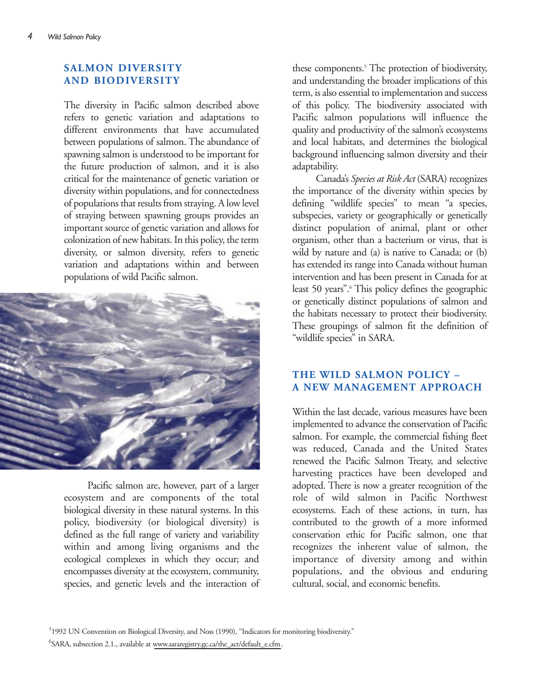## **SALMON DIVERSITY AND BIODIVERSITY**

The diversity in Pacific salmon described above refers to genetic variation and adaptations to different environments that have accumulated between populations of salmon. The abundance of spawning salmon is understood to be important for the future production of salmon, and it is also critical for the maintenance of genetic variation or diversity within populations, and for connectedness of populations that results from straying. A low level of straying between spawning groups provides an important source of genetic variation and allows for colonization of new habitats. In this policy, the term diversity, or salmon diversity, refers to genetic variation and adaptations within and between populations of wild Pacific salmon.



Pacific salmon are, however, part of a larger ecosystem and are components of the total biological diversity in these natural systems. In this policy, biodiversity (or biological diversity) is defined as the full range of variety and variability within and among living organisms and the ecological complexes in which they occur; and encompasses diversity at the ecosystem, community, species, and genetic levels and the interaction of

these components.<sup>5</sup> The protection of biodiversity, and understanding the broader implications of this term, is also essential to implementation and success of this policy. The biodiversity associated with Pacific salmon populations will influence the quality and productivity of the salmon's ecosystems and local habitats, and determines the biological background influencing salmon diversity and their adaptability.

Canada's *Species at Risk Act* (SARA) recognizes the importance of the diversity within species by defining ''wildlife species'' to mean "a species, subspecies, variety or geographically or genetically distinct population of animal, plant or other organism, other than a bacterium or virus, that is wild by nature and (a) is native to Canada; or (b) has extended its range into Canada without human intervention and has been present in Canada for at least 50 years". This policy defines the geographic or genetically distinct populations of salmon and the habitats necessary to protect their biodiversity. These groupings of salmon fit the definition of "wildlife species" in SARA.

#### **THE WILD SALMON POLICY – A NEW MANAGEMENT APPROACH**

Within the last decade, various measures have been implemented to advance the conservation of Pacific salmon. For example, the commercial fishing fleet was reduced, Canada and the United States renewed the Pacific Salmon Treaty, and selective harvesting practices have been developed and adopted. There is now a greater recognition of the role of wild salmon in Pacific Northwest ecosystems. Each of these actions, in turn, has contributed to the growth of a more informed conservation ethic for Pacific salmon, one that recognizes the inherent value of salmon, the importance of diversity among and within populations, and the obvious and enduring cultural, social, and economic benefits.

<sup>5</sup>1992 UN Convention on Biological Diversity, and Noss (1990), "Indicators for monitoring biodiversity." 6 SARA, subsection 2.1., available at www.sararegistry.gc.ca/the\_act/default\_e.cfm.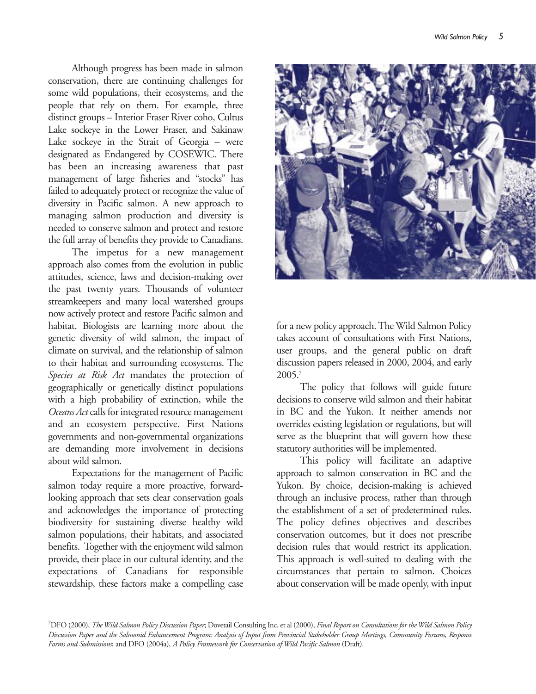Although progress has been made in salmon conservation, there are continuing challenges for some wild populations, their ecosystems, and the people that rely on them. For example, three distinct groups – Interior Fraser River coho, Cultus Lake sockeye in the Lower Fraser, and Sakinaw Lake sockeye in the Strait of Georgia – were designated as Endangered by COSEWIC. There has been an increasing awareness that past management of large fisheries and "stocks" has failed to adequately protect or recognize the value of diversity in Pacific salmon. A new approach to managing salmon production and diversity is needed to conserve salmon and protect and restore the full array of benefits they provide to Canadians.

The impetus for a new management approach also comes from the evolution in public attitudes, science, laws and decision-making over the past twenty years. Thousands of volunteer streamkeepers and many local watershed groups now actively protect and restore Pacific salmon and habitat. Biologists are learning more about the genetic diversity of wild salmon, the impact of climate on survival, and the relationship of salmon to their habitat and surrounding ecosystems. The *Species at Risk Act* mandates the protection of geographically or genetically distinct populations with a high probability of extinction, while the *Oceans Act* calls for integrated resource management and an ecosystem perspective. First Nations governments and non-governmental organizations are demanding more involvement in decisions about wild salmon.

Expectations for the management of Pacific salmon today require a more proactive, forwardlooking approach that sets clear conservation goals and acknowledges the importance of protecting biodiversity for sustaining diverse healthy wild salmon populations, their habitats, and associated benefits. Together with the enjoyment wild salmon provide, their place in our cultural identity, and the expectations of Canadians for responsible stewardship, these factors make a compelling case



for a new policy approach. The Wild Salmon Policy takes account of consultations with First Nations, user groups, and the general public on draft discussion papers released in 2000, 2004, and early 2005.7

The policy that follows will guide future decisions to conserve wild salmon and their habitat in BC and the Yukon. It neither amends nor overrides existing legislation or regulations, but will serve as the blueprint that will govern how these statutory authorities will be implemented.

This policy will facilitate an adaptive approach to salmon conservation in BC and the Yukon. By choice, decision-making is achieved through an inclusive process, rather than through the establishment of a set of predetermined rules. The policy defines objectives and describes conservation outcomes, but it does not prescribe decision rules that would restrict its application. This approach is well-suited to dealing with the circumstances that pertain to salmon. Choices about conservation will be made openly, with input

<sup>7</sup> DFO (2000), *The Wild Salmon Policy Discussion Paper*; Dovetail Consulting Inc. et al (2000), *Final Report on Consultations for the Wild Salmon Policy Discussion Paper and the Salmonid Enhancement Program: Analysis of Input from Provincial Stakeholder Group Meetings, Community Forums, Response Forms and Submissions*; and DFO (2004a), *A Policy Framework for Conservation of Wild Pacific Salmon* (Draft).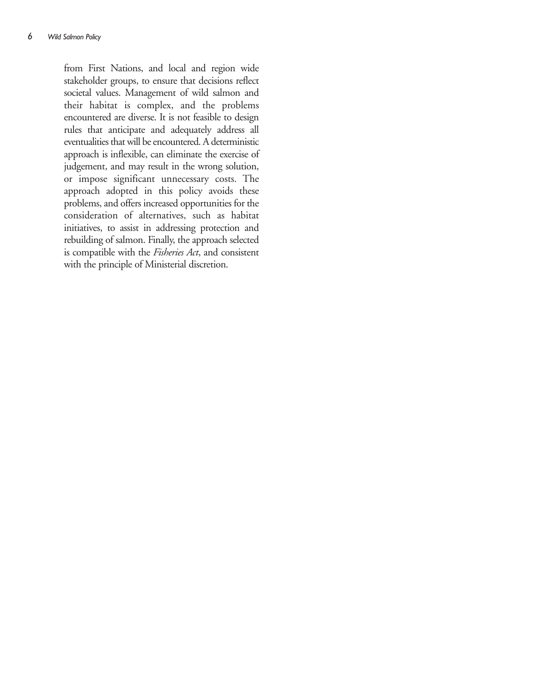from First Nations, and local and region wide stakeholder groups, to ensure that decisions reflect societal values. Management of wild salmon and their habitat is complex, and the problems encountered are diverse. It is not feasible to design rules that anticipate and adequately address all eventualities that will be encountered. A deterministic approach is inflexible, can eliminate the exercise of judgement, and may result in the wrong solution, or impose significant unnecessary costs. The approach adopted in this policy avoids these problems, and offers increased opportunities for the consideration of alternatives, such as habitat initiatives, to assist in addressing protection and rebuilding of salmon. Finally, the approach selected is compatible with the *Fisheries Act*, and consistent with the principle of Ministerial discretion.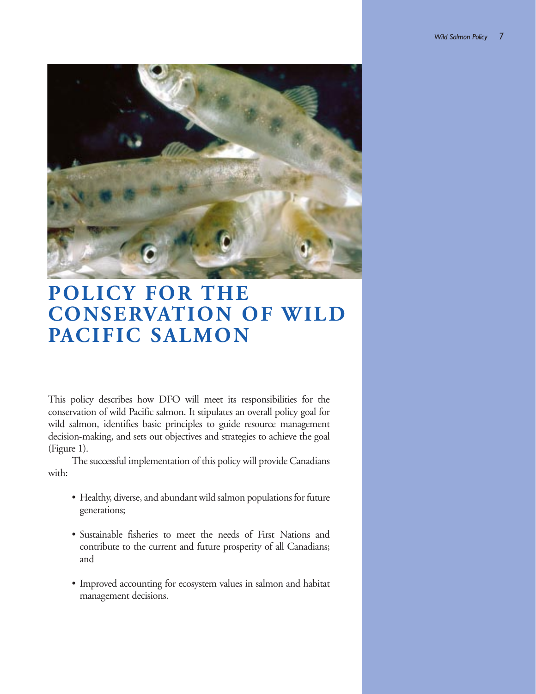

## **POLICY FOR THE CONSERVATION OF WILD PACIFIC SALMON**

This policy describes how DFO will meet its responsibilities for the conservation of wild Pacific salmon. It stipulates an overall policy goal for wild salmon, identifies basic principles to guide resource management decision-making, and sets out objectives and strategies to achieve the goal (Figure 1).

The successful implementation of this policy will provide Canadians with:

- Healthy, diverse, and abundant wild salmon populations for future generations;
- Sustainable fisheries to meet the needs of First Nations and contribute to the current and future prosperity of all Canadians; and
- Improved accounting for ecosystem values in salmon and habitat management decisions.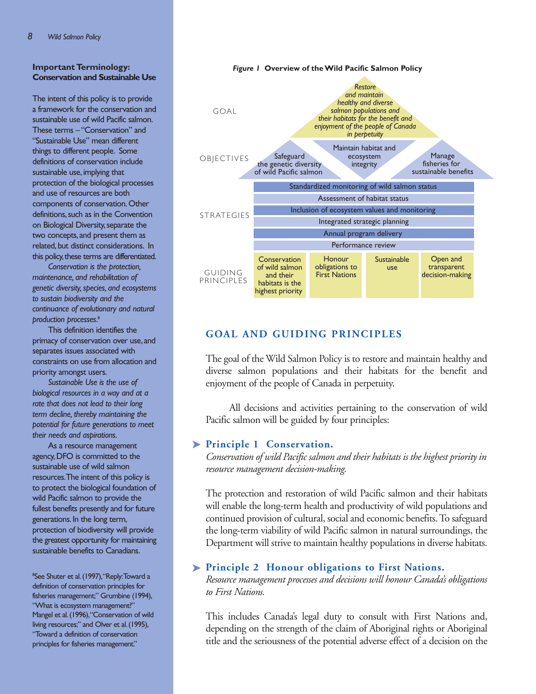#### **Important Terminology: Conservation and Sustainable Use**

The intent of this policy is to provide a framework for the conservation and sustainable use of wild Pacific salmon. These terms – "Conservation" and "Sustainable Use" mean different things to different people. Some definitions of conservation include sustainable use, implying that protection of the biological processes and use of resources are both components of conservation.Other definitions, such as in the Convention on Biological Diversity, separate the two concepts,and present them as related, but distinct considerations. In this policy, these terms are differentiated.

*Conservation is the protection, maintenance, and rehabilitation of genetic diversity, species, and ecosystems to sustain biodiversity and the continuance of evolutionary and natural production processes*. 8

This definition identifies the primacy of conservation over use, and separates issues associated with constraints on use from allocation and priority amongst users.

*Sustainable Use is the use of biological resources in a way and at a rate that does not lead to their long term decline, thereby maintaining the potential for future generations to meet their needs and aspirations.*

As a resource management agency,DFO is committed to the sustainable use of wild salmon resources.The intent of this policy is to protect the biological foundation of wild Pacific salmon to provide the fullest benefits presently and for future generations. In the long term, protection of biodiversity will provide the greatest opportunity for maintaining sustainable benefits to Canadians.

8 See Shuter et al.(1997),"Reply:Toward a definition of conservation principles for fisheries management;" Grumbine (1994), "What is ecosystem management?" Mangel et al.(1996),"Conservation of wild living resources;" and Olver et al. (1995), "Toward a definition of conservation principles for fisheries management."



#### **GOAL AND GUIDING PRINCIPLES**

The goal of the Wild Salmon Policy is to restore and maintain healthy and diverse salmon populations and their habitats for the benefit and enjoyment of the people of Canada in perpetuity.

All decisions and activities pertaining to the conservation of wild Pacific salmon will be guided by four principles:

## **Principle 1 Conservation.** ➤

*Conservation of wild Pacific salmon and their habitats is the highest priority in resource management decision-making.*

The protection and restoration of wild Pacific salmon and their habitats will enable the long-term health and productivity of wild populations and continued provision of cultural, social and economic benefits. To safeguard the long-term viability of wild Pacific salmon in natural surroundings, the Department will strive to maintain healthy populations in diverse habitats.

## **Principle 2 Honour obligations to First Nations.**  ➤

*Resource management processes and decisions will honour Canada's obligations to First Nations.*

This includes Canada's legal duty to consult with First Nations and, depending on the strength of the claim of Aboriginal rights or Aboriginal title and the seriousness of the potential adverse effect of a decision on the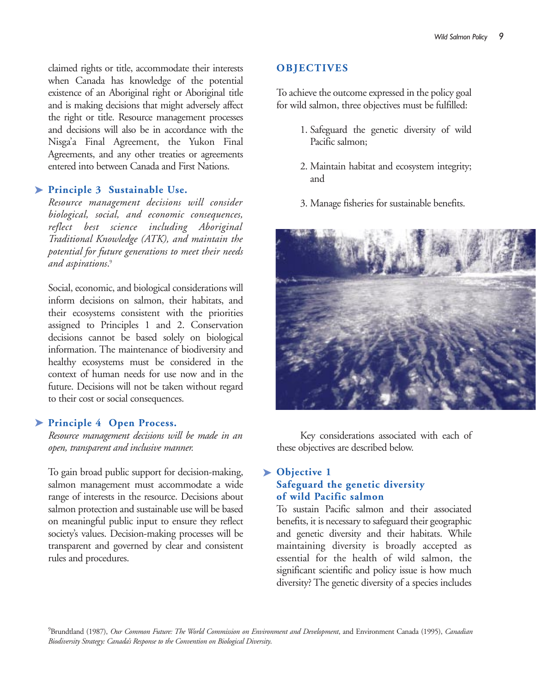claimed rights or title, accommodate their interests when Canada has knowledge of the potential existence of an Aboriginal right or Aboriginal title and is making decisions that might adversely affect the right or title. Resource management processes and decisions will also be in accordance with the Nisga'a Final Agreement, the Yukon Final Agreements, and any other treaties or agreements entered into between Canada and First Nations.

## **Principle 3 Sustainable Use.** ➤

*Resource management decisions will consider biological, social, and economic consequences, reflect best science including Aboriginal Traditional Knowledge (ATK), and maintain the potential for future generations to meet their needs and aspirations*. 9

Social, economic, and biological considerations will inform decisions on salmon, their habitats, and their ecosystems consistent with the priorities assigned to Principles 1 and 2. Conservation decisions cannot be based solely on biological information. The maintenance of biodiversity and healthy ecosystems must be considered in the context of human needs for use now and in the future. Decisions will not be taken without regard to their cost or social consequences.

## **Principle 4 Open Process.** ➤

*Resource management decisions will be made in an open, transparent and inclusive manner.*

To gain broad public support for decision-making, salmon management must accommodate a wide range of interests in the resource. Decisions about salmon protection and sustainable use will be based on meaningful public input to ensure they reflect society's values. Decision-making processes will be transparent and governed by clear and consistent rules and procedures.

## **OBJECTIVES**

To achieve the outcome expressed in the policy goal for wild salmon, three objectives must be fulfilled:

- 1. Safeguard the genetic diversity of wild Pacific salmon;
- 2. Maintain habitat and ecosystem integrity; and
- 3. Manage fisheries for sustainable benefits.



Key considerations associated with each of these objectives are described below.

## ▶ Objective 1 **Safeguard the genetic diversity of wild Pacific salmon**

To sustain Pacific salmon and their associated benefits, it is necessary to safeguard their geographic and genetic diversity and their habitats. While maintaining diversity is broadly accepted as essential for the health of wild salmon, the significant scientific and policy issue is how much diversity? The genetic diversity of a species includes

9 Brundtland (1987), *Our Common Future: The World Commission on Environment and Development*, and Environment Canada (1995), *Canadian Biodiversity Strategy: Canada's Response to the Convention on Biological Diversity*.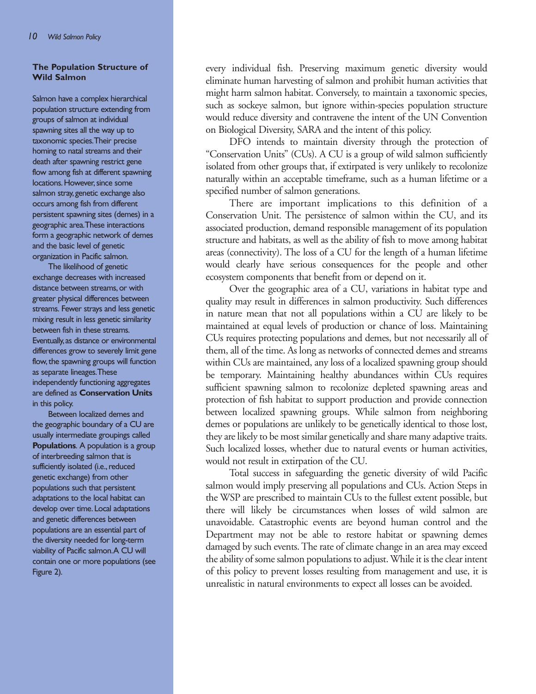#### **The Population Structure of Wild Salmon**

Salmon have a complex hierarchical population structure extending from groups of salmon at individual spawning sites all the way up to taxonomic species.Their precise homing to natal streams and their death after spawning restrict gene flow among fish at different spawning locations. However, since some salmon stray, genetic exchange also occurs among fish from different persistent spawning sites (demes) in a geographic area.These interactions form a geographic network of demes and the basic level of genetic organization in Pacific salmon.

The likelihood of genetic exchange decreases with increased distance between streams, or with greater physical differences between streams. Fewer strays and less genetic mixing result in less genetic similarity between fish in these streams. Eventually,as distance or environmental differences grow to severely limit gene flow, the spawning groups will function as separate lineages.These independently functioning aggregates are defined as **Conservation Units** in this policy.

Between localized demes and the geographic boundary of a CU are usually intermediate groupings called **Populations**. A population is a group of interbreeding salmon that is sufficiently isolated (i.e., reduced genetic exchange) from other populations such that persistent adaptations to the local habitat can develop over time.Local adaptations and genetic differences between populations are an essential part of the diversity needed for long-term viability of Pacific salmon.A CU will contain one or more populations (see Figure 2).

every individual fish. Preserving maximum genetic diversity would eliminate human harvesting of salmon and prohibit human activities that might harm salmon habitat. Conversely, to maintain a taxonomic species, such as sockeye salmon, but ignore within-species population structure would reduce diversity and contravene the intent of the UN Convention on Biological Diversity, SARA and the intent of this policy.

DFO intends to maintain diversity through the protection of "Conservation Units" (CUs). A CU is a group of wild salmon sufficiently isolated from other groups that, if extirpated is very unlikely to recolonize naturally within an acceptable timeframe, such as a human lifetime or a specified number of salmon generations.

There are important implications to this definition of a Conservation Unit. The persistence of salmon within the CU, and its associated production, demand responsible management of its population structure and habitats, as well as the ability of fish to move among habitat areas (connectivity). The loss of a CU for the length of a human lifetime would clearly have serious consequences for the people and other ecosystem components that benefit from or depend on it.

Over the geographic area of a CU, variations in habitat type and quality may result in differences in salmon productivity. Such differences in nature mean that not all populations within a CU are likely to be maintained at equal levels of production or chance of loss. Maintaining CUs requires protecting populations and demes, but not necessarily all of them, all of the time. As long as networks of connected demes and streams within CUs are maintained, any loss of a localized spawning group should be temporary. Maintaining healthy abundances within CUs requires sufficient spawning salmon to recolonize depleted spawning areas and protection of fish habitat to support production and provide connection between localized spawning groups. While salmon from neighboring demes or populations are unlikely to be genetically identical to those lost, they are likely to be most similar genetically and share many adaptive traits. Such localized losses, whether due to natural events or human activities, would not result in extirpation of the CU.

Total success in safeguarding the genetic diversity of wild Pacific salmon would imply preserving all populations and CUs. Action Steps in the WSP are prescribed to maintain CUs to the fullest extent possible, but there will likely be circumstances when losses of wild salmon are unavoidable. Catastrophic events are beyond human control and the Department may not be able to restore habitat or spawning demes damaged by such events. The rate of climate change in an area may exceed the ability of some salmon populations to adjust. While it is the clear intent of this policy to prevent losses resulting from management and use, it is unrealistic in natural environments to expect all losses can be avoided.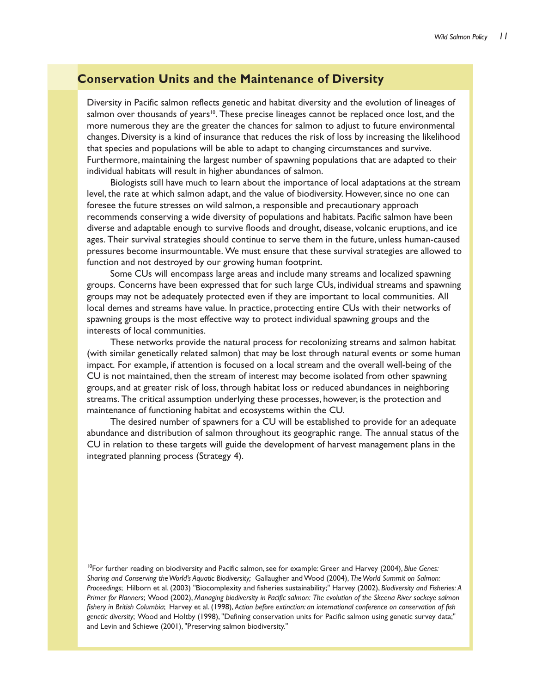## **Conservation Units and the Maintenance of Diversity**

Diversity in Pacific salmon reflects genetic and habitat diversity and the evolution of lineages of salmon over thousands of years<sup>10</sup>. These precise lineages cannot be replaced once lost, and the more numerous they are the greater the chances for salmon to adjust to future environmental changes. Diversity is a kind of insurance that reduces the risk of loss by increasing the likelihood that species and populations will be able to adapt to changing circumstances and survive. Furthermore, maintaining the largest number of spawning populations that are adapted to their individual habitats will result in higher abundances of salmon.

Biologists still have much to learn about the importance of local adaptations at the stream level, the rate at which salmon adapt, and the value of biodiversity. However, since no one can foresee the future stresses on wild salmon, a responsible and precautionary approach recommends conserving a wide diversity of populations and habitats. Pacific salmon have been diverse and adaptable enough to survive floods and drought, disease, volcanic eruptions, and ice ages. Their survival strategies should continue to serve them in the future, unless human-caused pressures become insurmountable. We must ensure that these survival strategies are allowed to function and not destroyed by our growing human footprint.

Some CUs will encompass large areas and include many streams and localized spawning groups. Concerns have been expressed that for such large CUs, individual streams and spawning groups may not be adequately protected even if they are important to local communities. All local demes and streams have value. In practice, protecting entire CUs with their networks of spawning groups is the most effective way to protect individual spawning groups and the interests of local communities.

These networks provide the natural process for recolonizing streams and salmon habitat (with similar genetically related salmon) that may be lost through natural events or some human impact. For example, if attention is focused on a local stream and the overall well-being of the CU is not maintained, then the stream of interest may become isolated from other spawning groups, and at greater risk of loss, through habitat loss or reduced abundances in neighboring streams. The critical assumption underlying these processes, however, is the protection and maintenance of functioning habitat and ecosystems within the CU.

The desired number of spawners for a CU will be established to provide for an adequate abundance and distribution of salmon throughout its geographic range. The annual status of the CU in relation to these targets will guide the development of harvest management plans in the integrated planning process (Strategy 4).

<sup>10</sup>For further reading on biodiversity and Pacific salmon, see for example: Greer and Harvey (2004), *Blue Genes*: *Sharing and Conserving the World's Aquatic Biodiversity;* Gallaugher and Wood (2004), *The World Summit on Salmon: Proceedings*; Hilborn et al. (2003) "Biocomplexity and fisheries sustainability;" Harvey (2002), *Biodiversity and Fisheries: A Primer for Planners*; Wood (2002), *Managing biodiversity in Pacific salmon: The evolution of the Skeena River sockeye salmon fishery in British Columbia*; Harvey et al. (1998), *Action before extinction: an international conference on conservation of fish genetic diversity*; Wood and Holtby (1998), "Defining conservation units for Pacific salmon using genetic survey data;" and Levin and Schiewe (2001), "Preserving salmon biodiversity."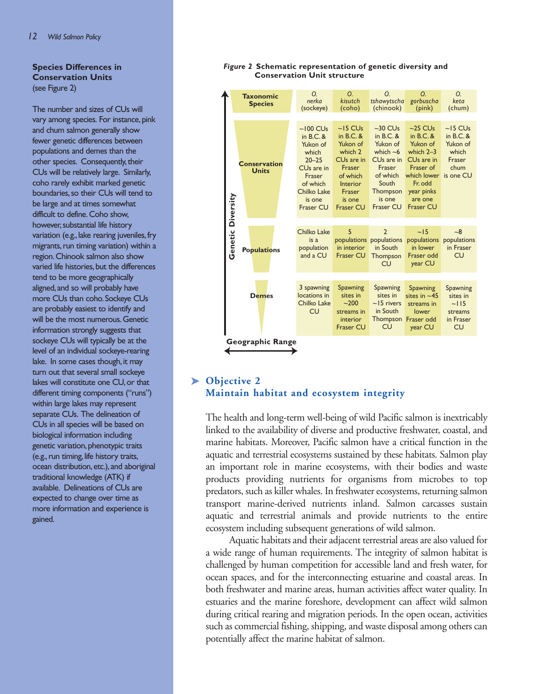#### **Species Differences in Conservation Units** (see Figure 2)

The number and sizes of CUs will vary among species. For instance, pink and chum salmon generally show fewer genetic differences between populations and demes than the other species. Consequently, their CUs will be relatively large. Similarly, coho rarely exhibit marked genetic boundaries, so their CUs will tend to be large and at times somewhat difficult to define. Coho show, however, substantial life history variation (e.g., lake rearing juveniles, fry migrants, run timing variation) within a region.Chinook salmon also show varied life histories, but the differences tend to be more geographically aligned,and so will probably have more CUs than coho. Sockeye CUs are probably easiest to identify and will be the most numerous. Genetic information strongly suggests that sockeye CUs will typically be at the level of an individual sockeye-rearing lake. In some cases though, it may turn out that several small sockeye lakes will constitute one CU,or that different timing components ("runs") within large lakes may represent separate CUs. The delineation of CUs in all species will be based on biological information including genetic variation, phenotypic traits (e.g., run timing, life history traits, ocean distribution, etc.), and aboriginal traditional knowledge (ATK) if available. Delineations of CUs are expected to change over time as more information and experience is gained.

#### *Figure 2* **Schematic representation of genetic diversity and Conservation Unit structure**

|                   |  | <b>Taxonomic</b><br><b>Species</b>  |  | 0.<br>nerka<br>(sockeye)                                                                                                                              | 0.<br>kisutch<br>(coho)                                                                                                                                 | 0.<br>tshawytscha<br>(chinook)                                                                                                                     | Ο.<br>gorbuscha<br>(pink)                                                                                                                                             | 0.<br>keta<br>(chum)                                                             |
|-------------------|--|-------------------------------------|--|-------------------------------------------------------------------------------------------------------------------------------------------------------|---------------------------------------------------------------------------------------------------------------------------------------------------------|----------------------------------------------------------------------------------------------------------------------------------------------------|-----------------------------------------------------------------------------------------------------------------------------------------------------------------------|----------------------------------------------------------------------------------|
| Genetic Diversity |  | <b>Conservation</b><br><b>Units</b> |  | $\sim$ 100 CUs<br>in $B.C.$ &<br>Yukon of<br>which<br>$20 - 25$<br>CU <sub>s</sub> are in<br>Fraser<br>of which<br>Chilko Lake<br>is one<br>Fraser CU | $\sim$ 15 CUs<br>in $B.C.$ &<br>Yukon of<br>which 2<br>CU <sub>s</sub> are in<br>Fraser<br>of which<br>Interior<br>Fraser<br>is one<br><b>Fraser CU</b> | $~10$ CUs<br>in $B.C.$ &<br>Yukon of<br>which $\sim$ 6<br>CU <sub>s</sub> are in<br>Fraser<br>of which<br>South<br>Thompson<br>is one<br>Fraser CU | $\sim$ 25 CUs<br>in $B.C.$ &<br>Yukon of<br>which $2-3$<br>CU <sub>s</sub> are in<br>Fraser of<br>which lower<br>Fr. odd<br>year pinks<br>are one<br><b>Fraser CU</b> | $\sim$ 15 CUs<br>in $B.C.$ &<br>Yukon of<br>which<br>Fraser<br>chum<br>is one CU |
|                   |  | <b>Populations</b>                  |  | Chilko Lake<br>is a<br>population<br>and a CU                                                                                                         | 5<br>in interior<br><b>Fraser CU</b>                                                                                                                    | $\overline{\phantom{0}}$<br>populations populations<br>in South<br>Thompson<br>CU                                                                  | $\sim$ 15<br>populations populations<br>in lower<br>Fraser odd<br>year CU                                                                                             | $-8$<br>in Fraser<br>CU                                                          |
|                   |  | <b>Demes</b>                        |  | 3 spawning<br>locations in<br>Chilko Lake<br>CU                                                                                                       | Spawning<br>sites in<br>$-200$<br>streams in<br>interior<br><b>Fraser CU</b>                                                                            | Spawning<br>sites in<br>$\sim$ 15 rivers<br>in South<br>Thompson Fraser odd<br><b>CU</b>                                                           | Spawning<br>sites in $~1$<br>streams in<br>lower<br>year CU                                                                                                           | Spawning<br>sites in<br>~115<br>streams<br>in Fraser<br>CU                       |
| Geographic Range  |  |                                     |  |                                                                                                                                                       |                                                                                                                                                         |                                                                                                                                                    |                                                                                                                                                                       |                                                                                  |

## ▶ Objective 2 **Maintain habitat and ecosystem integrity**

The health and long-term well-being of wild Pacific salmon is inextricably linked to the availability of diverse and productive freshwater, coastal, and marine habitats. Moreover, Pacific salmon have a critical function in the aquatic and terrestrial ecosystems sustained by these habitats. Salmon play an important role in marine ecosystems, with their bodies and waste products providing nutrients for organisms from microbes to top predators, such as killer whales. In freshwater ecosystems, returning salmon transport marine-derived nutrients inland. Salmon carcasses sustain aquatic and terrestrial animals and provide nutrients to the entire ecosystem including subsequent generations of wild salmon.

Aquatic habitats and their adjacent terrestrial areas are also valued for a wide range of human requirements. The integrity of salmon habitat is challenged by human competition for accessible land and fresh water, for ocean spaces, and for the interconnecting estuarine and coastal areas. In both freshwater and marine areas, human activities affect water quality. In estuaries and the marine foreshore, development can affect wild salmon during critical rearing and migration periods. In the open ocean, activities such as commercial fishing, shipping, and waste disposal among others can potentially affect the marine habitat of salmon.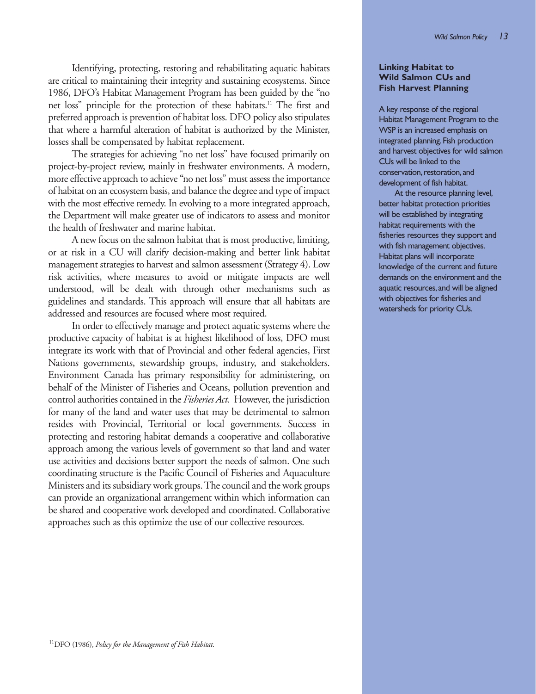Identifying, protecting, restoring and rehabilitating aquatic habitats are critical to maintaining their integrity and sustaining ecosystems. Since 1986, DFO's Habitat Management Program has been guided by the "no net loss" principle for the protection of these habitats.<sup>11</sup> The first and preferred approach is prevention of habitat loss. DFO policy also stipulates that where a harmful alteration of habitat is authorized by the Minister, losses shall be compensated by habitat replacement.

The strategies for achieving "no net loss" have focused primarily on project-by-project review, mainly in freshwater environments. A modern, more effective approach to achieve "no net loss" must assess the importance of habitat on an ecosystem basis, and balance the degree and type of impact with the most effective remedy. In evolving to a more integrated approach, the Department will make greater use of indicators to assess and monitor the health of freshwater and marine habitat.

A new focus on the salmon habitat that is most productive, limiting, or at risk in a CU will clarify decision-making and better link habitat management strategies to harvest and salmon assessment (Strategy 4). Low risk activities, where measures to avoid or mitigate impacts are well understood, will be dealt with through other mechanisms such as guidelines and standards. This approach will ensure that all habitats are addressed and resources are focused where most required.

In order to effectively manage and protect aquatic systems where the productive capacity of habitat is at highest likelihood of loss, DFO must integrate its work with that of Provincial and other federal agencies, First Nations governments, stewardship groups, industry, and stakeholders. Environment Canada has primary responsibility for administering, on behalf of the Minister of Fisheries and Oceans, pollution prevention and control authorities contained in the *Fisheries Act.* However, the jurisdiction for many of the land and water uses that may be detrimental to salmon resides with Provincial, Territorial or local governments. Success in protecting and restoring habitat demands a cooperative and collaborative approach among the various levels of government so that land and water use activities and decisions better support the needs of salmon. One such coordinating structure is the Pacific Council of Fisheries and Aquaculture Ministers and its subsidiary work groups. The council and the work groups can provide an organizational arrangement within which information can be shared and cooperative work developed and coordinated. Collaborative approaches such as this optimize the use of our collective resources.

#### **Linking Habitat to Wild Salmon CUs and Fish Harvest Planning**

A key response of the regional Habitat Management Program to the WSP is an increased emphasis on integrated planning. Fish production and harvest objectives for wild salmon CUs will be linked to the conservation, restoration, and development of fish habitat.

At the resource planning level, better habitat protection priorities will be established by integrating habitat requirements with the fisheries resources they support and with fish management objectives. Habitat plans will incorporate knowledge of the current and future demands on the environment and the aquatic resources,and will be aligned with objectives for fisheries and watersheds for priority CUs.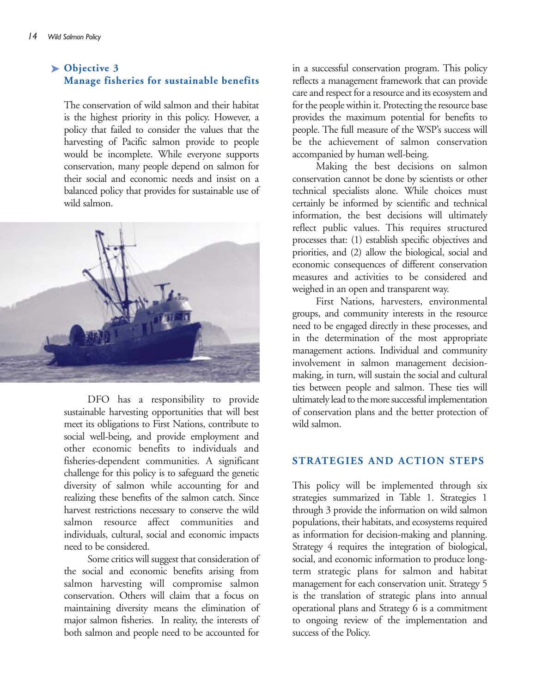## **Objective 3**  ➤**Manage fisheries for sustainable benefits**

The conservation of wild salmon and their habitat is the highest priority in this policy. However, a policy that failed to consider the values that the harvesting of Pacific salmon provide to people would be incomplete. While everyone supports conservation, many people depend on salmon for their social and economic needs and insist on a balanced policy that provides for sustainable use of wild salmon.



DFO has a responsibility to provide sustainable harvesting opportunities that will best meet its obligations to First Nations, contribute to social well-being, and provide employment and other economic benefits to individuals and fisheries-dependent communities. A significant challenge for this policy is to safeguard the genetic diversity of salmon while accounting for and realizing these benefits of the salmon catch. Since harvest restrictions necessary to conserve the wild salmon resource affect communities and individuals, cultural, social and economic impacts need to be considered.

Some critics will suggest that consideration of the social and economic benefits arising from salmon harvesting will compromise salmon conservation. Others will claim that a focus on maintaining diversity means the elimination of major salmon fisheries. In reality, the interests of both salmon and people need to be accounted for

in a successful conservation program. This policy reflects a management framework that can provide care and respect for a resource and its ecosystem and for the people within it. Protecting the resource base provides the maximum potential for benefits to people. The full measure of the WSP's success will be the achievement of salmon conservation accompanied by human well-being.

Making the best decisions on salmon conservation cannot be done by scientists or other technical specialists alone. While choices must certainly be informed by scientific and technical information, the best decisions will ultimately reflect public values. This requires structured processes that: (1) establish specific objectives and priorities, and (2) allow the biological, social and economic consequences of different conservation measures and activities to be considered and weighed in an open and transparent way.

First Nations, harvesters, environmental groups, and community interests in the resource need to be engaged directly in these processes, and in the determination of the most appropriate management actions. Individual and community involvement in salmon management decisionmaking, in turn, will sustain the social and cultural ties between people and salmon. These ties will ultimately lead to the more successful implementation of conservation plans and the better protection of wild salmon.

### **STRATEGIES AND ACTION STEPS**

This policy will be implemented through six strategies summarized in Table 1. Strategies 1 through 3 provide the information on wild salmon populations, their habitats, and ecosystems required as information for decision-making and planning. Strategy 4 requires the integration of biological, social, and economic information to produce longterm strategic plans for salmon and habitat management for each conservation unit. Strategy 5 is the translation of strategic plans into annual operational plans and Strategy 6 is a commitment to ongoing review of the implementation and success of the Policy.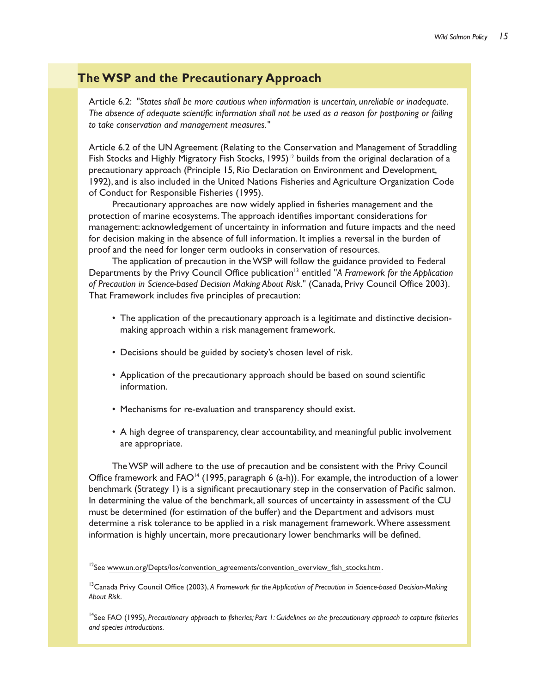## **The WSP and the Precautionary Approach**

Article 6.2: *"States shall be more cautious when information is uncertain, unreliable or inadequate. The absence of adequate scientific information shall not be used as a reason for postponing or failing to take conservation and management measures."*

Article 6.2 of the UN Agreement (Relating to the Conservation and Management of Straddling Fish Stocks and Highly Migratory Fish Stocks, 1995)<sup>12</sup> builds from the original declaration of a precautionary approach (Principle 15, Rio Declaration on Environment and Development, 1992), and is also included in the United Nations Fisheries and Agriculture Organization Code of Conduct for Responsible Fisheries (1995).

Precautionary approaches are now widely applied in fisheries management and the protection of marine ecosystems. The approach identifies important considerations for management: acknowledgement of uncertainty in information and future impacts and the need for decision making in the absence of full information. It implies a reversal in the burden of proof and the need for longer term outlooks in conservation of resources.

The application of precaution in the WSP will follow the guidance provided to Federal Departments by the Privy Council Office publication<sup>13</sup> entitled "A Framework for the Application *of Precaution in Science-based Decision Making About Risk.*" (Canada, Privy Council Office 2003). That Framework includes five principles of precaution:

- The application of the precautionary approach is a legitimate and distinctive decisionmaking approach within a risk management framework.
- Decisions should be guided by society's chosen level of risk.
- Application of the precautionary approach should be based on sound scientific information.
- Mechanisms for re-evaluation and transparency should exist.
- A high degree of transparency, clear accountability, and meaningful public involvement are appropriate.

The WSP will adhere to the use of precaution and be consistent with the Privy Council Office framework and FAO<sup>14</sup> (1995, paragraph 6 (a-h)). For example, the introduction of a lower benchmark (Strategy 1) is a significant precautionary step in the conservation of Pacific salmon. In determining the value of the benchmark, all sources of uncertainty in assessment of the CU must be determined (for estimation of the buffer) and the Department and advisors must determine a risk tolerance to be applied in a risk management framework. Where assessment information is highly uncertain, more precautionary lower benchmarks will be defined.

<sup>12</sup>See www.un.org/Depts/los/convention\_agreements/convention\_overview\_fish\_stocks.htm.

<sup>13</sup> Canada Privy Council Office (2003), A Framework for the Application of Precaution in Science-based Decision-Making *About Risk*.

<sup>14</sup>See FAO (1995), Precautionary approach to fisheries; Part 1: Guidelines on the precautionary approach to capture fisheries *and species introductions*.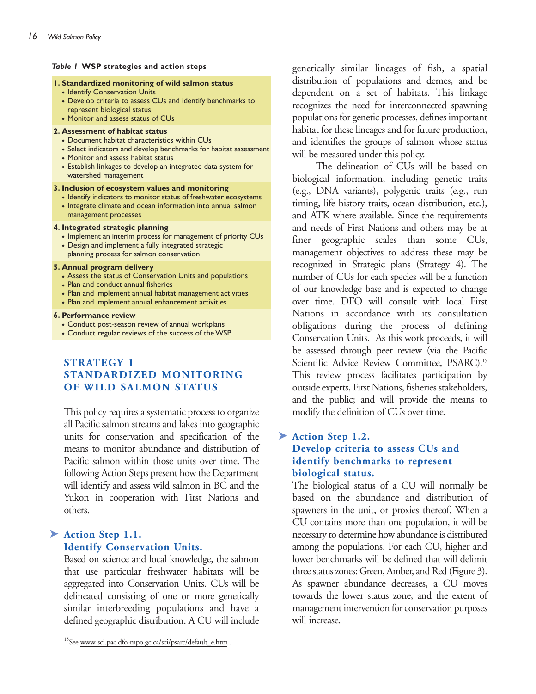#### *Table 1* **WSP strategies and action steps**

#### **1. Standardized monitoring of wild salmon status**

- ◆ Identify Conservation Units
- ◆ Develop criteria to assess CUs and identify benchmarks to represent biological status
- ◆ Monitor and assess status of CUs

#### **2. Assessment of habitat status**

- ◆ Document habitat characteristics within CUs
- ◆ Select indicators and develop benchmarks for habitat assessment
- ◆ Monitor and assess habitat status
- ◆ Establish linkages to develop an integrated data system for watershed management

#### **3. Inclusion of ecosystem values and monitoring**

- ◆ Identify indicators to monitor status of freshwater ecosystems ◆ Integrate climate and ocean information into annual salmon
- management processes

#### **4. Integrated strategic planning**

- ◆ Implement an interim process for management of priority CUs ◆ Design and implement a fully integrated strategic
- planning process for salmon conservation

#### **5. Annual program delivery**

- ◆ Assess the status of Conservation Units and populations
- ◆ Plan and conduct annual fisheries
- ◆ Plan and implement annual habitat management activities
- ◆ Plan and implement annual enhancement activities

#### **6. Performance review**

- ◆ Conduct post-season review of annual workplans
- ◆ Conduct regular reviews of the success of the WSP

#### **STRATEGY 1 STANDARDIZED MONITORING OF WILD SALMON STATUS**

This policy requires a systematic process to organize all Pacific salmon streams and lakes into geographic units for conservation and specification of the means to monitor abundance and distribution of Pacific salmon within those units over time. The following Action Steps present how the Department will identify and assess wild salmon in BC and the Yukon in cooperation with First Nations and others.

## ▶ Action Step 1.1. **Identify Conservation Units.**

Based on science and local knowledge, the salmon that use particular freshwater habitats will be aggregated into Conservation Units. CUs will be delineated consisting of one or more genetically similar interbreeding populations and have a defined geographic distribution. A CU will include

<sup>15</sup>See www-sci.pac.dfo-mpo.gc.ca/sci/psarc/default\_e.htm .

genetically similar lineages of fish, a spatial distribution of populations and demes, and be dependent on a set of habitats. This linkage recognizes the need for interconnected spawning populations for genetic processes, defines important habitat for these lineages and for future production, and identifies the groups of salmon whose status will be measured under this policy.

The delineation of CUs will be based on biological information, including genetic traits (e.g., DNA variants), polygenic traits (e.g., run timing, life history traits, ocean distribution, etc.), and ATK where available. Since the requirements and needs of First Nations and others may be at finer geographic scales than some CUs, management objectives to address these may be recognized in Strategic plans (Strategy 4). The number of CUs for each species will be a function of our knowledge base and is expected to change over time. DFO will consult with local First Nations in accordance with its consultation obligations during the process of defining Conservation Units. As this work proceeds, it will be assessed through peer review (via the Pacific Scientific Advice Review Committee, PSARC).<sup>15</sup> This review process facilitates participation by outside experts, First Nations, fisheries stakeholders, and the public; and will provide the means to modify the definition of CUs over time.

## ▶ Action Step 1.2.

### **Develop criteria to assess CUs and identify benchmarks to represent biological status.**

The biological status of a CU will normally be based on the abundance and distribution of spawners in the unit, or proxies thereof. When a CU contains more than one population, it will be necessary to determine how abundance is distributed among the populations. For each CU, higher and lower benchmarks will be defined that will delimit three status zones: Green, Amber, and Red (Figure 3). As spawner abundance decreases, a CU moves towards the lower status zone, and the extent of management intervention for conservation purposes will increase.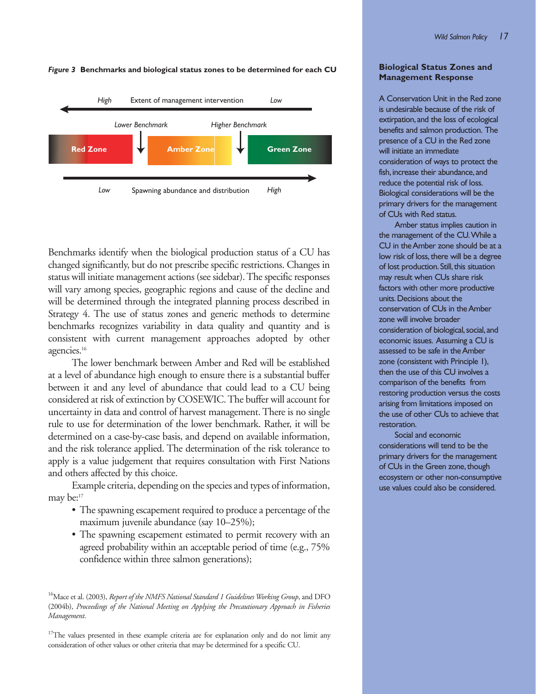#### *Figure 3* **Benchmarks and biological status zones to be determined for each CU**



Benchmarks identify when the biological production status of a CU has changed significantly, but do not prescribe specific restrictions. Changes in status will initiate management actions (see sidebar). The specific responses will vary among species, geographic regions and cause of the decline and will be determined through the integrated planning process described in Strategy 4. The use of status zones and generic methods to determine benchmarks recognizes variability in data quality and quantity and is consistent with current management approaches adopted by other agencies.<sup>16</sup>

The lower benchmark between Amber and Red will be established at a level of abundance high enough to ensure there is a substantial buffer between it and any level of abundance that could lead to a CU being considered at risk of extinction by COSEWIC. The buffer will account for uncertainty in data and control of harvest management. There is no single rule to use for determination of the lower benchmark. Rather, it will be determined on a case-by-case basis, and depend on available information, and the risk tolerance applied. The determination of the risk tolerance to apply is a value judgement that requires consultation with First Nations and others affected by this choice.

Example criteria, depending on the species and types of information, may be:<sup>17</sup>

- The spawning escapement required to produce a percentage of the maximum juvenile abundance (say 10–25%);
- The spawning escapement estimated to permit recovery with an agreed probability within an acceptable period of time (e.g., 75% confidence within three salmon generations);

#### **Biological Status Zones and Management Response**

A Conservation Unit in the Red zone is undesirable because of the risk of extirpation,and the loss of ecological benefits and salmon production. The presence of a CU in the Red zone will initiate an immediate consideration of ways to protect the fish, increase their abundance, and reduce the potential risk of loss. Biological considerations will be the primary drivers for the management of CUs with Red status.

Amber status implies caution in the management of the CU.While a CU in the Amber zone should be at a low risk of loss, there will be a degree of lost production. Still, this situation may result when CUs share risk factors with other more productive units.Decisions about the conservation of CUs in the Amber zone will involve broader consideration of biological, social, and economic issues. Assuming a CU is assessed to be safe in the Amber zone (consistent with Principle 1), then the use of this CU involves a comparison of the benefits from restoring production versus the costs arising from limitations imposed on the use of other CUs to achieve that restoration.

Social and economic considerations will tend to be the primary drivers for the management of CUs in the Green zone, though ecosystem or other non-consumptive use values could also be considered.

<sup>&</sup>lt;sup>16</sup>Mace et al. (2003), *Report of the NMFS National Standard 1 Guidelines Working Group*, and DFO (2004b), *Proceedings of the National Meeting on Applying the Precautionary Approach in Fisheries Management*.

<sup>&</sup>lt;sup>17</sup>The values presented in these example criteria are for explanation only and do not limit any consideration of other values or other criteria that may be determined for a specific CU.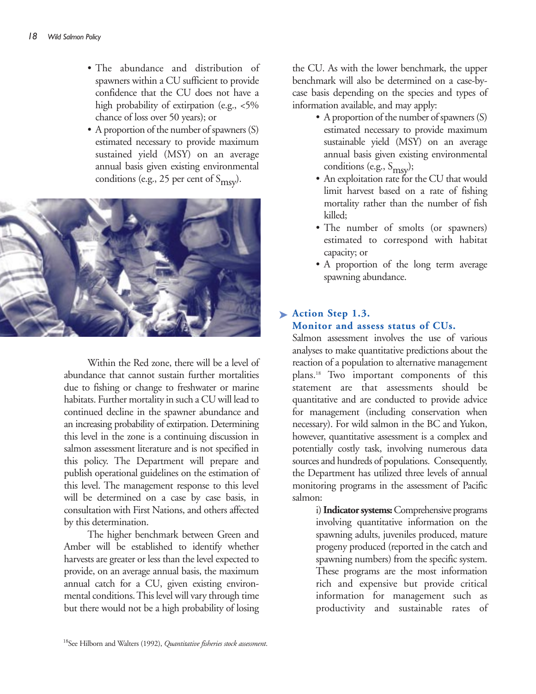- The abundance and distribution of spawners within a CU sufficient to provide confidence that the CU does not have a high probability of extirpation (e.g.,  $\langle 5\% \rangle$ chance of loss over 50 years); or
- A proportion of the number of spawners (S) estimated necessary to provide maximum sustained yield (MSY) on an average annual basis given existing environmental conditions (e.g., 25 per cent of  $S_{\text{msv}}$ ).



Within the Red zone, there will be a level of abundance that cannot sustain further mortalities due to fishing or change to freshwater or marine habitats. Further mortality in such a CU will lead to continued decline in the spawner abundance and an increasing probability of extirpation. Determining this level in the zone is a continuing discussion in salmon assessment literature and is not specified in this policy. The Department will prepare and publish operational guidelines on the estimation of this level. The management response to this level will be determined on a case by case basis, in consultation with First Nations, and others affected by this determination.

The higher benchmark between Green and Amber will be established to identify whether harvests are greater or less than the level expected to provide, on an average annual basis, the maximum annual catch for a CU, given existing environmental conditions. This level will vary through time but there would not be a high probability of losing

the CU. As with the lower benchmark, the upper benchmark will also be determined on a case-bycase basis depending on the species and types of information available, and may apply:

- A proportion of the number of spawners  $(S)$ estimated necessary to provide maximum sustainable yield (MSY) on an average annual basis given existing environmental conditions (e.g.,  $S_{\text{msv}}$ );
- An exploitation rate for the CU that would limit harvest based on a rate of fishing mortality rather than the number of fish killed;
- The number of smolts (or spawners) estimated to correspond with habitat capacity; or
- A proportion of the long term average spawning abundance.

## ▶ Action Step 1.3. **Monitor and assess status of CUs.**

Salmon assessment involves the use of various analyses to make quantitative predictions about the reaction of a population to alternative management plans.18 Two important components of this statement are that assessments should be quantitative and are conducted to provide advice for management (including conservation when necessary). For wild salmon in the BC and Yukon, however, quantitative assessment is a complex and potentially costly task, involving numerous data sources and hundreds of populations. Consequently, the Department has utilized three levels of annual monitoring programs in the assessment of Pacific salmon:

i)**Indicator systems:**Comprehensive programs involving quantitative information on the spawning adults, juveniles produced, mature progeny produced (reported in the catch and spawning numbers) from the specific system. These programs are the most information rich and expensive but provide critical information for management such as productivity and sustainable rates of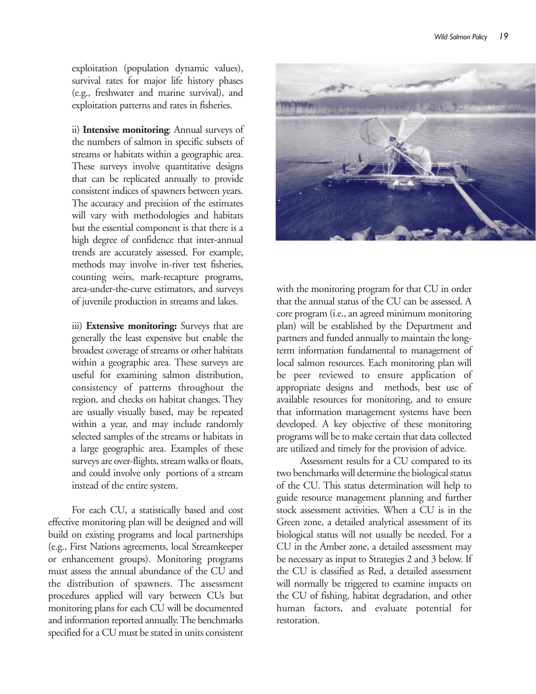exploitation (population dynamic values), survival rates for major life history phases (e.g., freshwater and marine survival), and exploitation patterns and rates in fisheries.

ii) **Intensive monitoring**: Annual surveys of the numbers of salmon in specific subsets of streams or habitats within a geographic area. These surveys involve quantitative designs that can be replicated annually to provide consistent indices of spawners between years. The accuracy and precision of the estimates will vary with methodologies and habitats but the essential component is that there is a high degree of confidence that inter-annual trends are accurately assessed. For example, methods may involve in-river test fisheries, counting weirs, mark-recapture programs, area-under-the-curve estimators, and surveys of juvenile production in streams and lakes.

iii) **Extensive monitoring:** Surveys that are generally the least expensive but enable the broadest coverage of streams or other habitats within a geographic area. These surveys are useful for examining salmon distribution, consistency of patterns throughout the region, and checks on habitat changes. They are usually visually based, may be repeated within a year, and may include randomly selected samples of the streams or habitats in a large geographic area. Examples of these surveys are over-flights, stream walks or floats, and could involve only portions of a stream instead of the entire system.

For each CU, a statistically based and cost effective monitoring plan will be designed and will build on existing programs and local partnerships (e.g., First Nations agreements, local Streamkeeper or enhancement groups). Monitoring programs must assess the annual abundance of the CU and the distribution of spawners. The assessment procedures applied will vary between CUs but monitoring plans for each CU will be documented and information reported annually. The benchmarks specified for a CU must be stated in units consistent



with the monitoring program for that CU in order that the annual status of the CU can be assessed. A core program (i.e., an agreed minimum monitoring plan) will be established by the Department and partners and funded annually to maintain the longterm information fundamental to management of local salmon resources. Each monitoring plan will be peer reviewed to ensure application of appropriate designs and methods, best use of available resources for monitoring, and to ensure that information management systems have been developed. A key objective of these monitoring programs will be to make certain that data collected are utilized and timely for the provision of advice.

Assessment results for a CU compared to its two benchmarks will determine the biological status of the CU. This status determination will help to guide resource management planning and further stock assessment activities. When a CU is in the Green zone, a detailed analytical assessment of its biological status will not usually be needed. For a CU in the Amber zone, a detailed assessment may be necessary as input to Strategies 2 and 3 below. If the CU is classified as Red, a detailed assessment will normally be triggered to examine impacts on the CU of fishing, habitat degradation, and other human factors, and evaluate potential for restoration.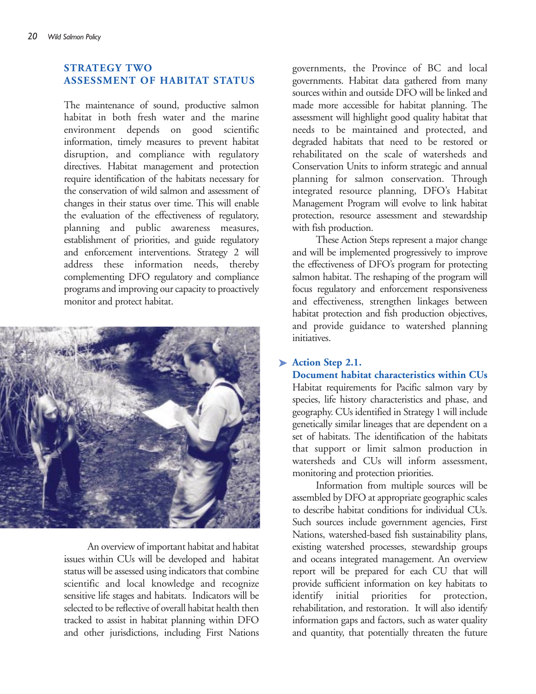#### **STRATEGY TWO ASSESSMENT OF HABITAT STATUS**

The maintenance of sound, productive salmon habitat in both fresh water and the marine environment depends on good scientific information, timely measures to prevent habitat disruption, and compliance with regulatory directives. Habitat management and protection require identification of the habitats necessary for the conservation of wild salmon and assessment of changes in their status over time. This will enable the evaluation of the effectiveness of regulatory, planning and public awareness measures, establishment of priorities, and guide regulatory and enforcement interventions. Strategy 2 will address these information needs, thereby complementing DFO regulatory and compliance programs and improving our capacity to proactively monitor and protect habitat.



An overview of important habitat and habitat issues within CUs will be developed and habitat status will be assessed using indicators that combine scientific and local knowledge and recognize sensitive life stages and habitats. Indicators will be selected to be reflective of overall habitat health then tracked to assist in habitat planning within DFO and other jurisdictions, including First Nations

governments, the Province of BC and local governments. Habitat data gathered from many sources within and outside DFO will be linked and made more accessible for habitat planning. The assessment will highlight good quality habitat that needs to be maintained and protected, and degraded habitats that need to be restored or rehabilitated on the scale of watersheds and Conservation Units to inform strategic and annual planning for salmon conservation. Through integrated resource planning, DFO's Habitat Management Program will evolve to link habitat protection, resource assessment and stewardship with fish production.

These Action Steps represent a major change and will be implemented progressively to improve the effectiveness of DFO's program for protecting salmon habitat. The reshaping of the program will focus regulatory and enforcement responsiveness and effectiveness, strengthen linkages between habitat protection and fish production objectives, and provide guidance to watershed planning initiatives.

## ▶ Action Step 2.1.

**Document habitat characteristics within CUs** Habitat requirements for Pacific salmon vary by species, life history characteristics and phase, and geography. CUs identified in Strategy 1 will include genetically similar lineages that are dependent on a set of habitats. The identification of the habitats that support or limit salmon production in watersheds and CUs will inform assessment, monitoring and protection priorities.

Information from multiple sources will be assembled by DFO at appropriate geographic scales to describe habitat conditions for individual CUs. Such sources include government agencies, First Nations, watershed-based fish sustainability plans, existing watershed processes, stewardship groups and oceans integrated management. An overview report will be prepared for each CU that will provide sufficient information on key habitats to identify initial priorities for protection, rehabilitation, and restoration. It will also identify information gaps and factors, such as water quality and quantity, that potentially threaten the future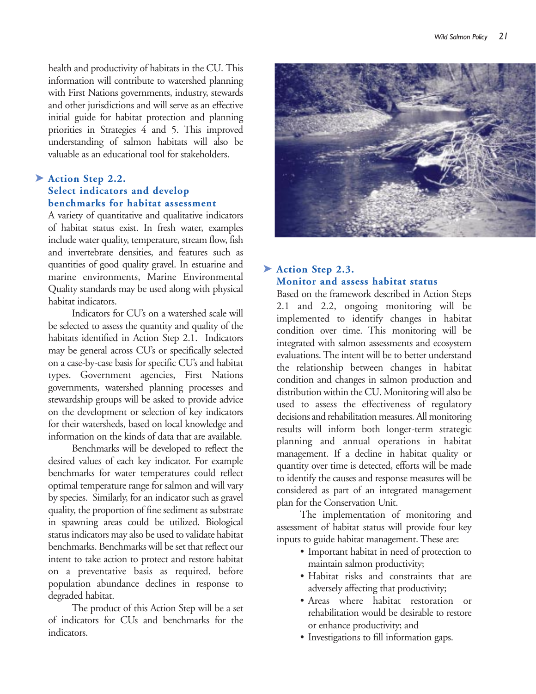health and productivity of habitats in the CU. This information will contribute to watershed planning with First Nations governments, industry, stewards and other jurisdictions and will serve as an effective initial guide for habitat protection and planning priorities in Strategies 4 and 5. This improved understanding of salmon habitats will also be valuable as an educational tool for stakeholders.

## ▶ Action Step 2.2. **Select indicators and develop benchmarks for habitat assessment**

A variety of quantitative and qualitative indicators of habitat status exist. In fresh water, examples include water quality, temperature, stream flow, fish and invertebrate densities, and features such as quantities of good quality gravel. In estuarine and marine environments, Marine Environmental Quality standards may be used along with physical habitat indicators.

Indicators for CU's on a watershed scale will be selected to assess the quantity and quality of the habitats identified in Action Step 2.1. Indicators may be general across CU's or specifically selected on a case-by-case basis for specific CU's and habitat types. Government agencies, First Nations governments, watershed planning processes and stewardship groups will be asked to provide advice on the development or selection of key indicators for their watersheds, based on local knowledge and information on the kinds of data that are available.

Benchmarks will be developed to reflect the desired values of each key indicator. For example benchmarks for water temperatures could reflect optimal temperature range for salmon and will vary by species. Similarly, for an indicator such as gravel quality, the proportion of fine sediment as substrate in spawning areas could be utilized. Biological status indicators may also be used to validate habitat benchmarks. Benchmarks will be set that reflect our intent to take action to protect and restore habitat on a preventative basis as required, before population abundance declines in response to degraded habitat.

The product of this Action Step will be a set of indicators for CUs and benchmarks for the indicators.



## ▶ Action Step 2.3. **Monitor and assess habitat status**

Based on the framework described in Action Steps 2.1 and 2.2, ongoing monitoring will be implemented to identify changes in habitat condition over time. This monitoring will be integrated with salmon assessments and ecosystem evaluations. The intent will be to better understand the relationship between changes in habitat condition and changes in salmon production and distribution within the CU. Monitoring will also be used to assess the effectiveness of regulatory decisions and rehabilitation measures. All monitoring results will inform both longer-term strategic planning and annual operations in habitat management. If a decline in habitat quality or quantity over time is detected, efforts will be made to identify the causes and response measures will be considered as part of an integrated management plan for the Conservation Unit.

The implementation of monitoring and assessment of habitat status will provide four key inputs to guide habitat management. These are:

- Important habitat in need of protection to maintain salmon productivity;
- Habitat risks and constraints that are adversely affecting that productivity;
- Areas where habitat restoration or rehabilitation would be desirable to restore or enhance productivity; and
- Investigations to fill information gaps.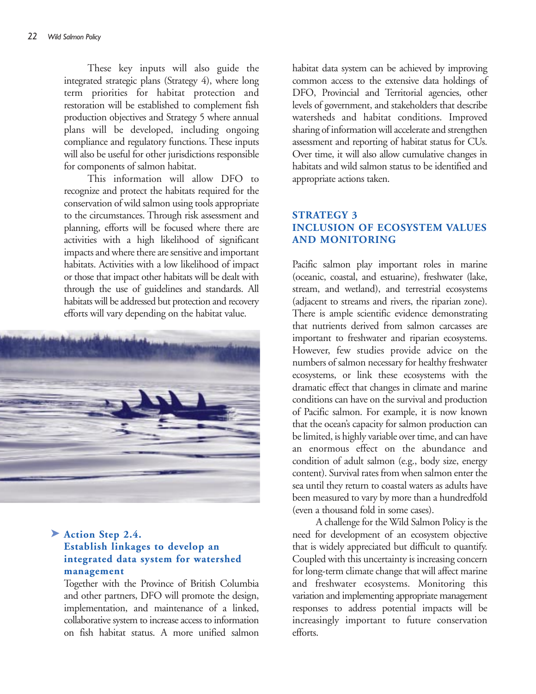These key inputs will also guide the integrated strategic plans (Strategy 4), where long term priorities for habitat protection and restoration will be established to complement fish production objectives and Strategy 5 where annual plans will be developed, including ongoing compliance and regulatory functions. These inputs will also be useful for other jurisdictions responsible for components of salmon habitat.

This information will allow DFO to recognize and protect the habitats required for the conservation of wild salmon using tools appropriate to the circumstances. Through risk assessment and planning, efforts will be focused where there are activities with a high likelihood of significant impacts and where there are sensitive and important habitats. Activities with a low likelihood of impact or those that impact other habitats will be dealt with through the use of guidelines and standards. All habitats will be addressed but protection and recovery efforts will vary depending on the habitat value.



## Action Step 2.4. **Establish linkages to develop an integrated data system for watershed management**

Together with the Province of British Columbia and other partners, DFO will promote the design, implementation, and maintenance of a linked, collaborative system to increase access to information on fish habitat status. A more unified salmon habitat data system can be achieved by improving common access to the extensive data holdings of DFO, Provincial and Territorial agencies, other levels of government, and stakeholders that describe watersheds and habitat conditions. Improved sharing of information will accelerate and strengthen assessment and reporting of habitat status for CUs. Over time, it will also allow cumulative changes in habitats and wild salmon status to be identified and appropriate actions taken.

#### **STRATEGY 3 INCLUSION OF ECOSYSTEM VALUES AND MONITORING**

Pacific salmon play important roles in marine (oceanic, coastal, and estuarine), freshwater (lake, stream, and wetland), and terrestrial ecosystems (adjacent to streams and rivers, the riparian zone). There is ample scientific evidence demonstrating that nutrients derived from salmon carcasses are important to freshwater and riparian ecosystems. However, few studies provide advice on the numbers of salmon necessary for healthy freshwater ecosystems, or link these ecosystems with the dramatic effect that changes in climate and marine conditions can have on the survival and production of Pacific salmon. For example, it is now known that the ocean's capacity for salmon production can be limited, is highly variable over time, and can have an enormous effect on the abundance and condition of adult salmon (e.g., body size, energy content). Survival rates from when salmon enter the sea until they return to coastal waters as adults have been measured to vary by more than a hundredfold (even a thousand fold in some cases).

A challenge for the Wild Salmon Policy is the need for development of an ecosystem objective that is widely appreciated but difficult to quantify. Coupled with this uncertainty is increasing concern for long-term climate change that will affect marine and freshwater ecosystems. Monitoring this variation and implementing appropriate management responses to address potential impacts will be increasingly important to future conservation efforts.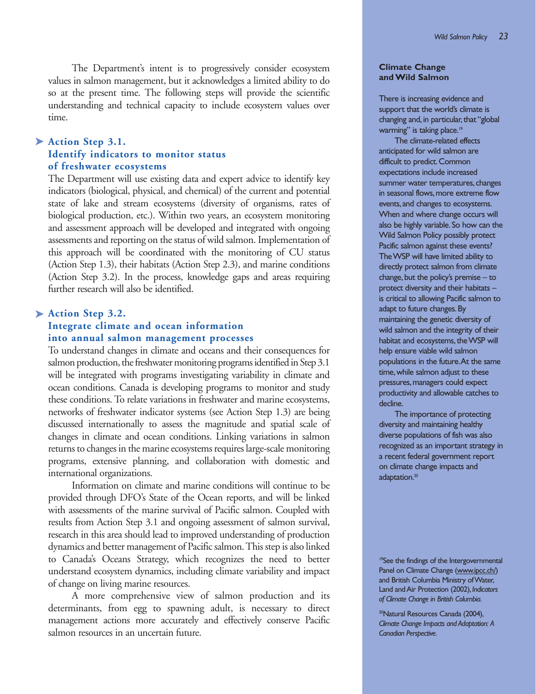The Department's intent is to progressively consider ecosystem values in salmon management, but it acknowledges a limited ability to do so at the present time. The following steps will provide the scientific understanding and technical capacity to include ecosystem values over time.

## ▶ Action Step 3.1. **Identify indicators to monitor status of freshwater ecosystems**

The Department will use existing data and expert advice to identify key indicators (biological, physical, and chemical) of the current and potential state of lake and stream ecosystems (diversity of organisms, rates of biological production, etc.). Within two years, an ecosystem monitoring and assessment approach will be developed and integrated with ongoing assessments and reporting on the status of wild salmon. Implementation of this approach will be coordinated with the monitoring of CU status (Action Step 1.3), their habitats (Action Step 2.3), and marine conditions (Action Step 3.2). In the process, knowledge gaps and areas requiring further research will also be identified.

## ▶ Action Step 3.2.

#### **Integrate climate and ocean information into annual salmon management processes**

To understand changes in climate and oceans and their consequences for salmon production, the freshwater monitoring programs identified in Step 3.1 will be integrated with programs investigating variability in climate and ocean conditions. Canada is developing programs to monitor and study these conditions. To relate variations in freshwater and marine ecosystems, networks of freshwater indicator systems (see Action Step 1.3) are being discussed internationally to assess the magnitude and spatial scale of changes in climate and ocean conditions. Linking variations in salmon returns to changes in the marine ecosystems requires large-scale monitoring programs, extensive planning, and collaboration with domestic and international organizations.

Information on climate and marine conditions will continue to be provided through DFO's State of the Ocean reports, and will be linked with assessments of the marine survival of Pacific salmon. Coupled with results from Action Step 3.1 and ongoing assessment of salmon survival, research in this area should lead to improved understanding of production dynamics and better management of Pacific salmon. This step is also linked to Canada's Oceans Strategy, which recognizes the need to better understand ecosystem dynamics, including climate variability and impact of change on living marine resources.

A more comprehensive view of salmon production and its determinants, from egg to spawning adult, is necessary to direct management actions more accurately and effectively conserve Pacific salmon resources in an uncertain future.

#### **Climate Change and Wild Salmon**

There is increasing evidence and support that the world's climate is changing and, in particular, that "global warming" is taking place.<sup>19</sup>

The climate-related effects anticipated for wild salmon are difficult to predict. Common expectations include increased summer water temperatures, changes in seasonal flows, more extreme flow events,and changes to ecosystems. When and where change occurs will also be highly variable.So how can the Wild Salmon Policy possibly protect Pacific salmon against these events? The WSP will have limited ability to directly protect salmon from climate change, but the policy's premise  $-$  to protect diversity and their habitats – is critical to allowing Pacific salmon to adapt to future changes.By maintaining the genetic diversity of wild salmon and the integrity of their habitat and ecosystems, the WSP will help ensure viable wild salmon populations in the future.At the same time, while salmon adjust to these pressures,managers could expect productivity and allowable catches to decline.

The importance of protecting diversity and maintaining healthy diverse populations of fish was also recognized as an important strategy in a recent federal government report on climate change impacts and adaptation.<sup>20</sup>

<sup>19</sup>See the findings of the Intergovernmental Panel on Climate Change (www.ipcc.ch/) and British Columbia Ministry of Water, Land and Air Protection (2002), *Indicators of Climate Change in British Columbia.*

20Natural Resources Canada (2004), *Climate Change Impacts and Adaptation: A Canadian Perspective*.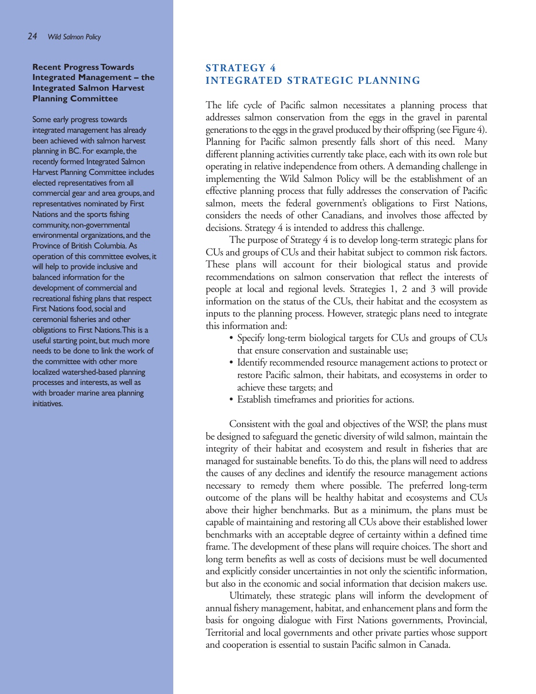#### **Recent Progress Towards Integrated Management – the Integrated Salmon Harvest Planning Committee**

Some early progress towards integrated management has already been achieved with salmon harvest planning in BC. For example, the recently formed Integrated Salmon Harvest Planning Committee includes elected representatives from all commercial gear and area groups,and representatives nominated by First Nations and the sports fishing community, non-governmental environmental organizations,and the Province of British Columbia. As operation of this committee evolves, it will help to provide inclusive and balanced information for the development of commercial and recreational fishing plans that respect First Nations food, social and ceremonial fisheries and other obligations to First Nations.This is a useful starting point, but much more needs to be done to link the work of the committee with other more localized watershed-based planning processes and interests,as well as with broader marine area planning initiatives.

#### **STRATEGY 4 INTEGRATED STRATEGIC PLANNING**

The life cycle of Pacific salmon necessitates a planning process that addresses salmon conservation from the eggs in the gravel in parental generations to the eggs in the gravel produced by their offspring (see Figure 4). Planning for Pacific salmon presently falls short of this need. Many different planning activities currently take place, each with its own role but operating in relative independence from others. A demanding challenge in implementing the Wild Salmon Policy will be the establishment of an effective planning process that fully addresses the conservation of Pacific salmon, meets the federal government's obligations to First Nations, considers the needs of other Canadians, and involves those affected by decisions. Strategy 4 is intended to address this challenge.

The purpose of Strategy 4 is to develop long-term strategic plans for CUs and groups of CUs and their habitat subject to common risk factors. These plans will account for their biological status and provide recommendations on salmon conservation that reflect the interests of people at local and regional levels. Strategies 1, 2 and 3 will provide information on the status of the CUs, their habitat and the ecosystem as inputs to the planning process. However, strategic plans need to integrate this information and:

- Specify long-term biological targets for CUs and groups of CUs that ensure conservation and sustainable use;
- Identify recommended resource management actions to protect or restore Pacific salmon, their habitats, and ecosystems in order to achieve these targets; and
- Establish timeframes and priorities for actions.

Consistent with the goal and objectives of the WSP, the plans must be designed to safeguard the genetic diversity of wild salmon, maintain the integrity of their habitat and ecosystem and result in fisheries that are managed for sustainable benefits. To do this, the plans will need to address the causes of any declines and identify the resource management actions necessary to remedy them where possible. The preferred long-term outcome of the plans will be healthy habitat and ecosystems and CUs above their higher benchmarks. But as a minimum, the plans must be capable of maintaining and restoring all CUs above their established lower benchmarks with an acceptable degree of certainty within a defined time frame. The development of these plans will require choices. The short and long term benefits as well as costs of decisions must be well documented and explicitly consider uncertainties in not only the scientific information, but also in the economic and social information that decision makers use.

Ultimately, these strategic plans will inform the development of annual fishery management, habitat, and enhancement plans and form the basis for ongoing dialogue with First Nations governments, Provincial, Territorial and local governments and other private parties whose support and cooperation is essential to sustain Pacific salmon in Canada.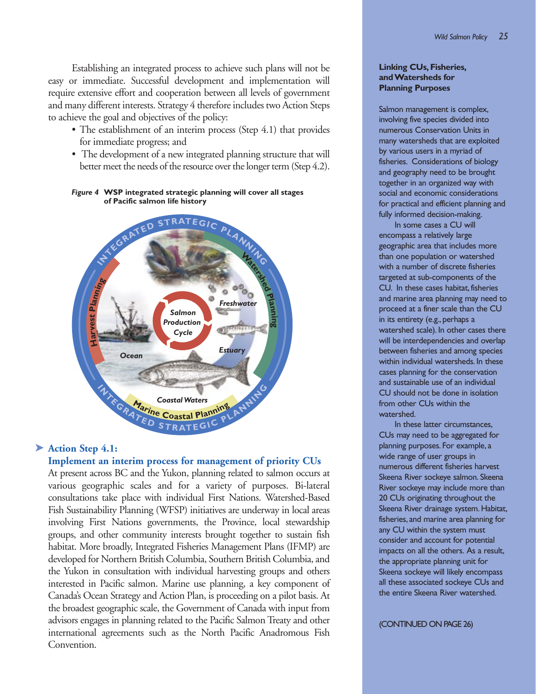Establishing an integrated process to achieve such plans will not be easy or immediate. Successful development and implementation will require extensive effort and cooperation between all levels of government and many different interests. Strategy 4 therefore includes two Action Steps to achieve the goal and objectives of the policy:

- The establishment of an interim process (Step 4.1) that provides for immediate progress; and
- The development of a new integrated planning structure that will better meet the needs of the resource over the longer term (Step 4.2).

#### *Figure 4* **WSP integrated strategic planning will cover all stages of Pacific salmon life history**



## ▶ Action Step 4.1:

#### **Implement an interim process for management of priority CUs**

At present across BC and the Yukon, planning related to salmon occurs at various geographic scales and for a variety of purposes. Bi-lateral consultations take place with individual First Nations. Watershed-Based Fish Sustainability Planning (WFSP) initiatives are underway in local areas involving First Nations governments, the Province, local stewardship groups, and other community interests brought together to sustain fish habitat. More broadly, Integrated Fisheries Management Plans (IFMP) are developed for Northern British Columbia, Southern British Columbia, and the Yukon in consultation with individual harvesting groups and others interested in Pacific salmon. Marine use planning, a key component of Canada's Ocean Strategy and Action Plan, is proceeding on a pilot basis. At the broadest geographic scale, the Government of Canada with input from advisors engages in planning related to the Pacific Salmon Treaty and other international agreements such as the North Pacific Anadromous Fish Convention.

#### **Linking CUs, Fisheries, and Watersheds for Planning Purposes**

Salmon management is complex, involving five species divided into numerous Conservation Units in many watersheds that are exploited by various users in a myriad of fisheries. Considerations of biology and geography need to be brought together in an organized way with social and economic considerations for practical and efficient planning and fully informed decision-making.

In some cases a CU will encompass a relatively large geographic area that includes more than one population or watershed with a number of discrete fisheries targeted at sub-components of the CU. In these cases habitat, fisheries and marine area planning may need to proceed at a finer scale than the CU in its entirety (e.g., perhaps a watershed scale). In other cases there will be interdependencies and overlap between fisheries and among species within individual watersheds. In these cases planning for the conservation and sustainable use of an individual CU should not be done in isolation from other CUs within the watershed.

In these latter circumstances, CUs may need to be aggregated for planning purposes. For example, a wide range of user groups in numerous different fisheries harvest Skeena River sockeye salmon. Skeena River sockeye may include more than 20 CUs originating throughout the Skeena River drainage system. Habitat, fisheries, and marine area planning for any CU within the system must consider and account for potential impacts on all the others. As a result, the appropriate planning unit for Skeena sockeye will likely encompass all these associated sockeye CUs and the entire Skeena River watershed.

(CONTINUED ON PAGE 26)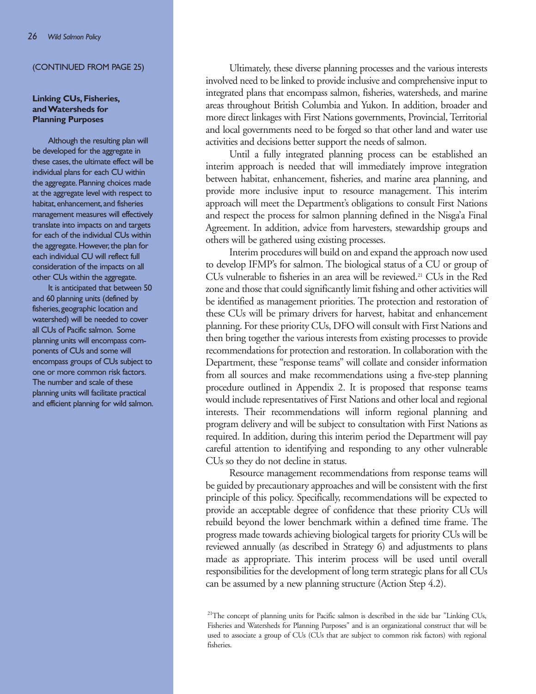(CONTINUED FROM PAGE 25)

#### **Linking CUs, Fisheries, and Watersheds for Planning Purposes**

Although the resulting plan will be developed for the aggregate in these cases, the ultimate effect will be individual plans for each CU within the aggregate. Planning choices made at the aggregate level with respect to habitat, enhancement, and fisheries management measures will effectively translate into impacts on and targets for each of the individual CUs within the aggregate. However, the plan for each individual CU will reflect full consideration of the impacts on all other CUs within the aggregate.

It is anticipated that between 50 and 60 planning units (defined by fisheries, geographic location and watershed) will be needed to cover all CUs of Pacific salmon. Some planning units will encompass components of CUs and some will encompass groups of CUs subject to one or more common risk factors. The number and scale of these planning units will facilitate practical and efficient planning for wild salmon.

Ultimately, these diverse planning processes and the various interests involved need to be linked to provide inclusive and comprehensive input to integrated plans that encompass salmon, fisheries, watersheds, and marine areas throughout British Columbia and Yukon. In addition, broader and more direct linkages with First Nations governments, Provincial, Territorial and local governments need to be forged so that other land and water use activities and decisions better support the needs of salmon.

Until a fully integrated planning process can be established an interim approach is needed that will immediately improve integration between habitat, enhancement, fisheries, and marine area planning, and provide more inclusive input to resource management. This interim approach will meet the Department's obligations to consult First Nations and respect the process for salmon planning defined in the Nisga'a Final Agreement. In addition, advice from harvesters, stewardship groups and others will be gathered using existing processes.

Interim procedures will build on and expand the approach now used to develop IFMP's for salmon. The biological status of a CU or group of CUs vulnerable to fisheries in an area will be reviewed.<sup>21</sup> CUs in the Red zone and those that could significantly limit fishing and other activities will be identified as management priorities. The protection and restoration of these CUs will be primary drivers for harvest, habitat and enhancement planning. For these priority CUs, DFO will consult with First Nations and then bring together the various interests from existing processes to provide recommendations for protection and restoration. In collaboration with the Department, these "response teams" will collate and consider information from all sources and make recommendations using a five-step planning procedure outlined in Appendix 2. It is proposed that response teams would include representatives of First Nations and other local and regional interests. Their recommendations will inform regional planning and program delivery and will be subject to consultation with First Nations as required. In addition, during this interim period the Department will pay careful attention to identifying and responding to any other vulnerable CUs so they do not decline in status.

Resource management recommendations from response teams will be guided by precautionary approaches and will be consistent with the first principle of this policy. Specifically, recommendations will be expected to provide an acceptable degree of confidence that these priority CUs will rebuild beyond the lower benchmark within a defined time frame. The progress made towards achieving biological targets for priority CUs will be reviewed annually (as described in Strategy 6) and adjustments to plans made as appropriate. This interim process will be used until overall responsibilities for the development of long term strategic plans for all CUs can be assumed by a new planning structure (Action Step 4.2).

<sup>&</sup>lt;sup>21</sup>The concept of planning units for Pacific salmon is described in the side bar "Linking CUs, Fisheries and Watersheds for Planning Purposes" and is an organizational construct that will be used to associate a group of CUs (CUs that are subject to common risk factors) with regional fisheries.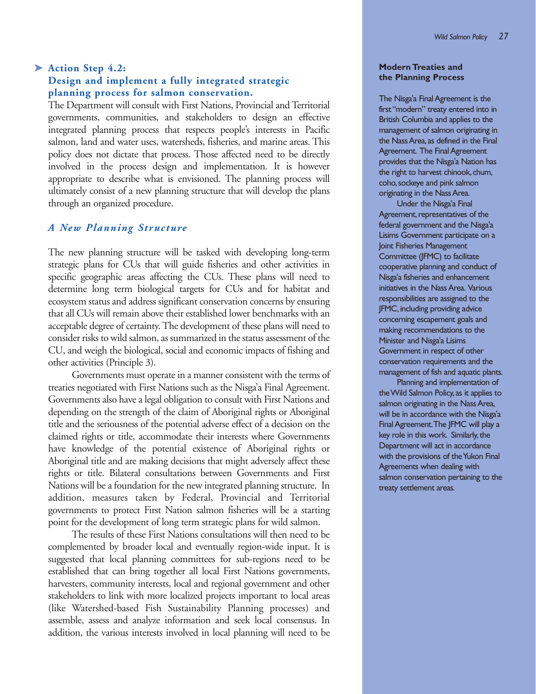#### ▶ Action Step 4.2: **Design and implement a fully integrated strategic planning process for salmon conservation.**

The Department will consult with First Nations, Provincial and Territorial governments, communities, and stakeholders to design an effective integrated planning process that respects people's interests in Pacific salmon, land and water uses, watersheds, fisheries, and marine areas. This policy does not dictate that process. Those affected need to be directly involved in the process design and implementation. It is however appropriate to describe what is envisioned. The planning process will ultimately consist of a new planning structure that will develop the plans through an organized procedure.

#### *A New Planning Structure*

The new planning structure will be tasked with developing long-term strategic plans for CUs that will guide fisheries and other activities in specific geographic areas affecting the CUs. These plans will need to determine long term biological targets for CUs and for habitat and ecosystem status and address significant conservation concerns by ensuring that all CUs will remain above their established lower benchmarks with an acceptable degree of certainty. The development of these plans will need to consider risks to wild salmon, as summarized in the status assessment of the CU, and weigh the biological, social and economic impacts of fishing and other activities (Principle 3).

Governments must operate in a manner consistent with the terms of treaties negotiated with First Nations such as the Nisga'a Final Agreement. Governments also have a legal obligation to consult with First Nations and depending on the strength of the claim of Aboriginal rights or Aboriginal title and the seriousness of the potential adverse effect of a decision on the claimed rights or title, accommodate their interests where Governments have knowledge of the potential existence of Aboriginal rights or Aboriginal title and are making decisions that might adversely affect these rights or title. Bilateral consultations between Governments and First Nations will be a foundation for the new integrated planning structure. In addition, measures taken by Federal, Provincial and Territorial governments to protect First Nation salmon fisheries will be a starting point for the development of long term strategic plans for wild salmon.

The results of these First Nations consultations will then need to be complemented by broader local and eventually region-wide input. It is suggested that local planning committees for sub-regions need to be established that can bring together all local First Nations governments, harvesters, community interests, local and regional government and other stakeholders to link with more localized projects important to local areas (like Watershed-based Fish Sustainability Planning processes) and assemble, assess and analyze information and seek local consensus. In addition, the various interests involved in local planning will need to be

#### **Modern Treaties and the Planning Process**

The Nisga'a Final Agreement is the first "modern" treaty entered into in British Columbia and applies to the management of salmon originating in the Nass Area, as defined in the Final Agreement. The Final Agreement provides that the Nisga'a Nation has the right to harvest chinook, chum, coho, sockeye and pink salmon originating in the Nass Area.

Under the Nisga'a Final Agreement, representatives of the federal government and the Nisga'a Lisims Government participate on a Joint Fisheries Management Committee (JFMC) to facilitate cooperative planning and conduct of Nisga'a fisheries and enhancement initiatives in the Nass Area. Various responsibilities are assigned to the JFMC, including providing advice concerning escapement goals and making recommendations to the Minister and Nisga'a Lisims Government in respect of other conservation requirements and the management of fish and aquatic plants.

Planning and implementation of the Wild Salmon Policy, as it applies to salmon originating in the Nass Area, will be in accordance with the Nisga'a Final Agreement.The JFMC will play a key role in this work. Similarly, the Department will act in accordance with the provisions of the Yukon Final Agreements when dealing with salmon conservation pertaining to the treaty settlement areas.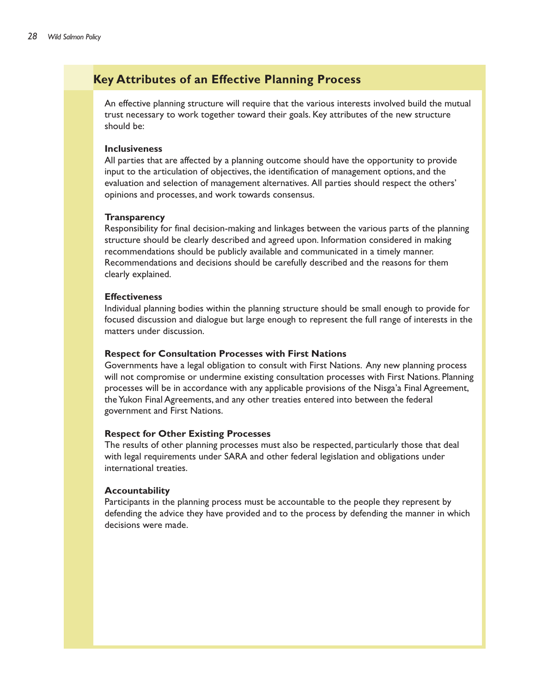## **Key Attributes of an Effective Planning Process**

An effective planning structure will require that the various interests involved build the mutual trust necessary to work together toward their goals. Key attributes of the new structure should be:

#### **Inclusiveness**

All parties that are affected by a planning outcome should have the opportunity to provide input to the articulation of objectives, the identification of management options, and the evaluation and selection of management alternatives. All parties should respect the others' opinions and processes, and work towards consensus.

#### **Transparency**

Responsibility for final decision-making and linkages between the various parts of the planning structure should be clearly described and agreed upon. Information considered in making recommendations should be publicly available and communicated in a timely manner. Recommendations and decisions should be carefully described and the reasons for them clearly explained.

#### **Effectiveness**

Individual planning bodies within the planning structure should be small enough to provide for focused discussion and dialogue but large enough to represent the full range of interests in the matters under discussion.

#### **Respect for Consultation Processes with First Nations**

Governments have a legal obligation to consult with First Nations. Any new planning process will not compromise or undermine existing consultation processes with First Nations. Planning processes will be in accordance with any applicable provisions of the Nisga'a Final Agreement, the Yukon Final Agreements, and any other treaties entered into between the federal government and First Nations.

#### **Respect for Other Existing Processes**

The results of other planning processes must also be respected, particularly those that deal with legal requirements under SARA and other federal legislation and obligations under international treaties.

#### **Accountability**

Participants in the planning process must be accountable to the people they represent by defending the advice they have provided and to the process by defending the manner in which decisions were made.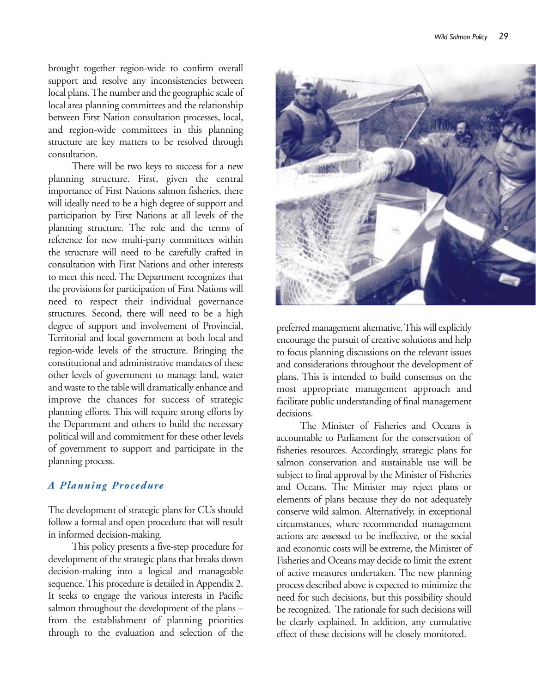brought together region-wide to confirm overall support and resolve any inconsistencies between local plans. The number and the geographic scale of local area planning committees and the relationship between First Nation consultation processes, local, and region-wide committees in this planning structure are key matters to be resolved through consultation.

There will be two keys to success for a new planning structure. First, given the central importance of First Nations salmon fisheries, there will ideally need to be a high degree of support and participation by First Nations at all levels of the planning structure. The role and the terms of reference for new multi-party committees within the structure will need to be carefully crafted in consultation with First Nations and other interests to meet this need. The Department recognizes that the provisions for participation of First Nations will need to respect their individual governance structures. Second, there will need to be a high degree of support and involvement of Provincial, Territorial and local government at both local and region-wide levels of the structure. Bringing the constitutional and administrative mandates of these other levels of government to manage land, water and waste to the table will dramatically enhance and improve the chances for success of strategic planning efforts. This will require strong efforts by the Department and others to build the necessary political will and commitment for these other levels of government to support and participate in the planning process.

## *A Planning Procedure*

The development of strategic plans for CUs should follow a formal and open procedure that will result in informed decision-making.

This policy presents a five-step procedure for development of the strategic plans that breaks down decision-making into a logical and manageable sequence. This procedure is detailed in Appendix 2. It seeks to engage the various interests in Pacific salmon throughout the development of the plans – from the establishment of planning priorities through to the evaluation and selection of the



preferred management alternative. This will explicitly encourage the pursuit of creative solutions and help to focus planning discussions on the relevant issues and considerations throughout the development of plans. This is intended to build consensus on the most appropriate management approach and facilitate public understanding of final management decisions.

The Minister of Fisheries and Oceans is accountable to Parliament for the conservation of fisheries resources. Accordingly, strategic plans for salmon conservation and sustainable use will be subject to final approval by the Minister of Fisheries and Oceans. The Minister may reject plans or elements of plans because they do not adequately conserve wild salmon. Alternatively, in exceptional circumstances, where recommended management actions are assessed to be ineffective, or the social and economic costs will be extreme, the Minister of Fisheries and Oceans may decide to limit the extent of active measures undertaken. The new planning process described above is expected to minimize the need for such decisions, but this possibility should be recognized. The rationale for such decisions will be clearly explained. In addition, any cumulative effect of these decisions will be closely monitored.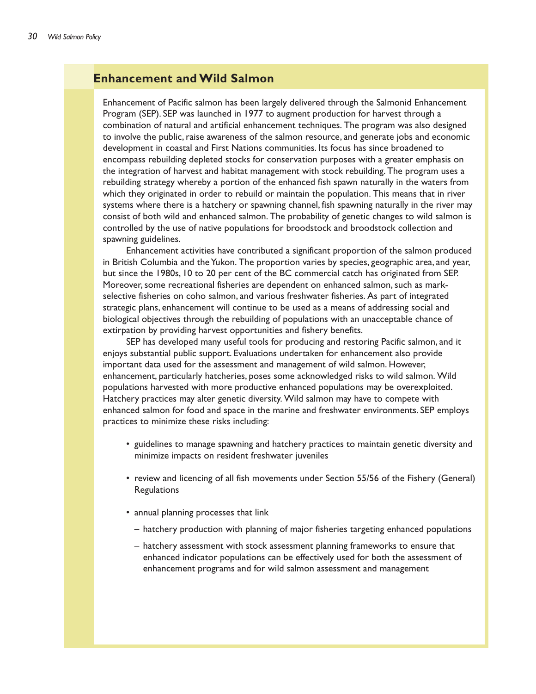#### **Enhancement and Wild Salmon**

Enhancement of Pacific salmon has been largely delivered through the Salmonid Enhancement Program (SEP). SEP was launched in 1977 to augment production for harvest through a combination of natural and artificial enhancement techniques. The program was also designed to involve the public, raise awareness of the salmon resource, and generate jobs and economic development in coastal and First Nations communities. Its focus has since broadened to encompass rebuilding depleted stocks for conservation purposes with a greater emphasis on the integration of harvest and habitat management with stock rebuilding. The program uses a rebuilding strategy whereby a portion of the enhanced fish spawn naturally in the waters from which they originated in order to rebuild or maintain the population. This means that in river systems where there is a hatchery or spawning channel, fish spawning naturally in the river may consist of both wild and enhanced salmon. The probability of genetic changes to wild salmon is controlled by the use of native populations for broodstock and broodstock collection and spawning guidelines.

Enhancement activities have contributed a significant proportion of the salmon produced in British Columbia and the Yukon. The proportion varies by species, geographic area, and year, but since the 1980s, 10 to 20 per cent of the BC commercial catch has originated from SEP. Moreover, some recreational fisheries are dependent on enhanced salmon, such as markselective fisheries on coho salmon, and various freshwater fisheries. As part of integrated strategic plans, enhancement will continue to be used as a means of addressing social and biological objectives through the rebuilding of populations with an unacceptable chance of extirpation by providing harvest opportunities and fishery benefits.

SEP has developed many useful tools for producing and restoring Pacific salmon, and it enjoys substantial public support. Evaluations undertaken for enhancement also provide important data used for the assessment and management of wild salmon. However, enhancement, particularly hatcheries, poses some acknowledged risks to wild salmon. Wild populations harvested with more productive enhanced populations may be overexploited. Hatchery practices may alter genetic diversity. Wild salmon may have to compete with enhanced salmon for food and space in the marine and freshwater environments. SEP employs practices to minimize these risks including:

- guidelines to manage spawning and hatchery practices to maintain genetic diversity and minimize impacts on resident freshwater juveniles
- review and licencing of all fish movements under Section 55/56 of the Fishery (General) **Regulations**
- annual planning processes that link
	- hatchery production with planning of major fisheries targeting enhanced populations
	- hatchery assessment with stock assessment planning frameworks to ensure that enhanced indicator populations can be effectively used for both the assessment of enhancement programs and for wild salmon assessment and management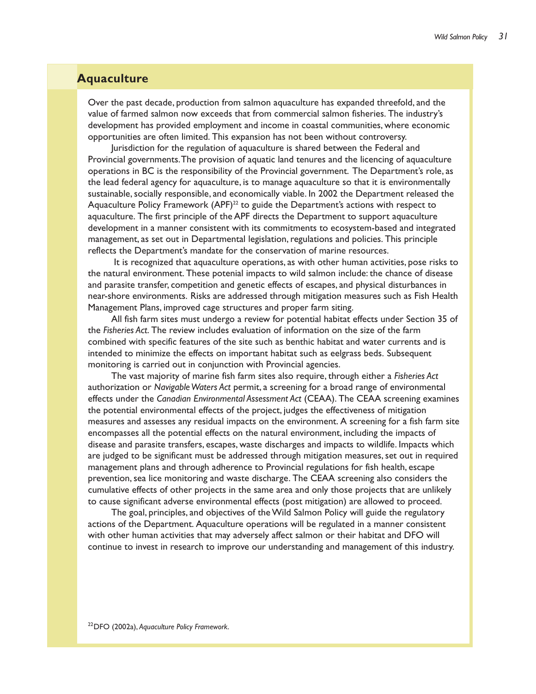#### **Aquaculture**

Over the past decade, production from salmon aquaculture has expanded threefold, and the value of farmed salmon now exceeds that from commercial salmon fisheries. The industry's development has provided employment and income in coastal communities, where economic opportunities are often limited. This expansion has not been without controversy.

Jurisdiction for the regulation of aquaculture is shared between the Federal and Provincial governments. The provision of aquatic land tenures and the licencing of aquaculture operations in BC is the responsibility of the Provincial government. The Department's role, as the lead federal agency for aquaculture, is to manage aquaculture so that it is environmentally sustainable, socially responsible, and economically viable. In 2002 the Department released the Aquaculture Policy Framework (APF) $^{22}$  to guide the Department's actions with respect to aquaculture. The first principle of the APF directs the Department to support aquaculture development in a manner consistent with its commitments to ecosystem-based and integrated management, as set out in Departmental legislation, regulations and policies. This principle reflects the Department's mandate for the conservation of marine resources.

 It is recognized that aquaculture operations, as with other human activities, pose risks to the natural environment. These potenial impacts to wild salmon include: the chance of disease and parasite transfer, competition and genetic effects of escapes, and physical disturbances in near-shore environments. Risks are addressed through mitigation measures such as Fish Health Management Plans, improved cage structures and proper farm siting.

All fish farm sites must undergo a review for potential habitat effects under Section 35 of the *Fisheries Act*. The review includes evaluation of information on the size of the farm combined with specific features of the site such as benthic habitat and water currents and is intended to minimize the effects on important habitat such as eelgrass beds. Subsequent monitoring is carried out in conjunction with Provincial agencies.

The vast majority of marine fish farm sites also require, through either a *Fisheries Act*  authorization or *Navigable Waters Act* permit, a screening for a broad range of environmental effects under the *Canadian Environmental Assessment Act* (CEAA). The CEAA screening examines the potential environmental effects of the project, judges the effectiveness of mitigation measures and assesses any residual impacts on the environment. A screening for a fish farm site encompasses all the potential effects on the natural environment, including the impacts of disease and parasite transfers, escapes, waste discharges and impacts to wildlife. Impacts which are judged to be significant must be addressed through mitigation measures, set out in required management plans and through adherence to Provincial regulations for fish health, escape prevention, sea lice monitoring and waste discharge. The CEAA screening also considers the cumulative effects of other projects in the same area and only those projects that are unlikely to cause significant adverse environmental effects (post mitigation) are allowed to proceed.

The goal, principles, and objectives of the Wild Salmon Policy will guide the regulatory actions of the Department. Aquaculture operations will be regulated in a manner consistent with other human activities that may adversely affect salmon or their habitat and DFO will continue to invest in research to improve our understanding and management of this industry.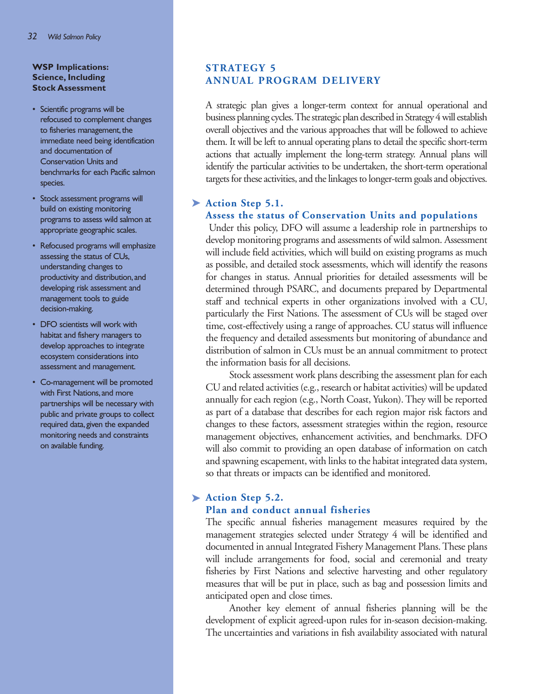#### **WSP Implications: Science, Including Stock Assessment**

- Scientific programs will be refocused to complement changes to fisheries management, the immediate need being identification and documentation of Conservation Units and benchmarks for each Pacific salmon species.
- Stock assessment programs will build on existing monitoring programs to assess wild salmon at appropriate geographic scales.
- Refocused programs will emphasize assessing the status of CUs, understanding changes to productivity and distribution,and developing risk assessment and management tools to guide decision-making.
- DFO scientists will work with habitat and fishery managers to develop approaches to integrate ecosystem considerations into assessment and management.
- Co-management will be promoted with First Nations, and more partnerships will be necessary with public and private groups to collect required data, given the expanded monitoring needs and constraints on available funding.

#### **STRATEGY 5 ANNUAL PROGRAM DELIVERY**

A strategic plan gives a longer-term context for annual operational and business planning cycles. The strategic plan described in Strategy 4 will establish overall objectives and the various approaches that will be followed to achieve them. It will be left to annual operating plans to detail the specific short-term actions that actually implement the long-term strategy. Annual plans will identify the particular activities to be undertaken, the short-term operational targets for these activities, and the linkages to longer-term goals and objectives.

## ▶ Action Step 5.1.

#### **Assess the status of Conservation Units and populations**

Under this policy, DFO will assume a leadership role in partnerships to develop monitoring programs and assessments of wild salmon. Assessment will include field activities, which will build on existing programs as much as possible, and detailed stock assessments, which will identify the reasons for changes in status. Annual priorities for detailed assessments will be determined through PSARC, and documents prepared by Departmental staff and technical experts in other organizations involved with a CU, particularly the First Nations. The assessment of CUs will be staged over time, cost-effectively using a range of approaches. CU status will influence the frequency and detailed assessments but monitoring of abundance and distribution of salmon in CUs must be an annual commitment to protect the information basis for all decisions.

Stock assessment work plans describing the assessment plan for each CU and related activities (e.g., research or habitat activities) will be updated annually for each region (e.g., North Coast, Yukon). They will be reported as part of a database that describes for each region major risk factors and changes to these factors, assessment strategies within the region, resource management objectives, enhancement activities, and benchmarks. DFO will also commit to providing an open database of information on catch and spawning escapement, with links to the habitat integrated data system, so that threats or impacts can be identified and monitored.

## ▶ Action Step 5.2.

#### **Plan and conduct annual fisheries**

The specific annual fisheries management measures required by the management strategies selected under Strategy 4 will be identified and documented in annual Integrated Fishery Management Plans. These plans will include arrangements for food, social and ceremonial and treaty fisheries by First Nations and selective harvesting and other regulatory measures that will be put in place, such as bag and possession limits and anticipated open and close times.

Another key element of annual fisheries planning will be the development of explicit agreed-upon rules for in-season decision-making. The uncertainties and variations in fish availability associated with natural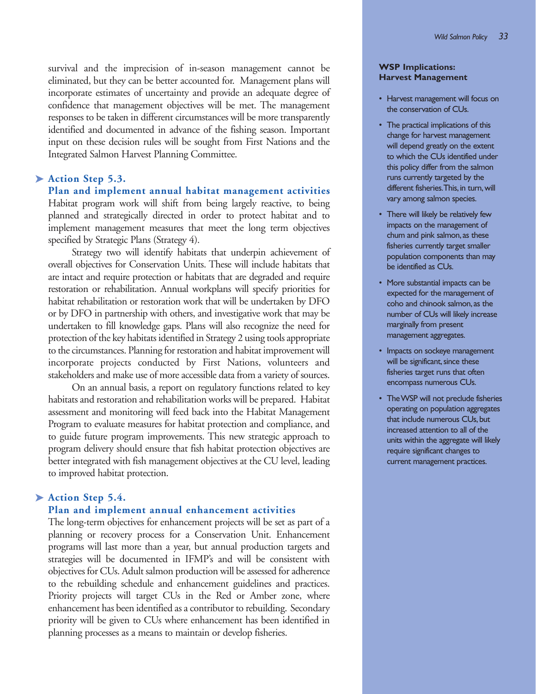survival and the imprecision of in-season management cannot be eliminated, but they can be better accounted for. Management plans will incorporate estimates of uncertainty and provide an adequate degree of confidence that management objectives will be met. The management responses to be taken in different circumstances will be more transparently identified and documented in advance of the fishing season. Important input on these decision rules will be sought from First Nations and the Integrated Salmon Harvest Planning Committee.

## ▶ Action Step 5.3.

## **Plan and implement annual habitat management activities**

Habitat program work will shift from being largely reactive, to being planned and strategically directed in order to protect habitat and to implement management measures that meet the long term objectives specified by Strategic Plans (Strategy 4).

Strategy two will identify habitats that underpin achievement of overall objectives for Conservation Units. These will include habitats that are intact and require protection or habitats that are degraded and require restoration or rehabilitation. Annual workplans will specify priorities for habitat rehabilitation or restoration work that will be undertaken by DFO or by DFO in partnership with others, and investigative work that may be undertaken to fill knowledge gaps. Plans will also recognize the need for protection of the key habitats identified in Strategy 2 using tools appropriate to the circumstances. Planning for restoration and habitat improvement will incorporate projects conducted by First Nations, volunteers and stakeholders and make use of more accessible data from a variety of sources.

On an annual basis, a report on regulatory functions related to key habitats and restoration and rehabilitation works will be prepared. Habitat assessment and monitoring will feed back into the Habitat Management Program to evaluate measures for habitat protection and compliance, and to guide future program improvements. This new strategic approach to program delivery should ensure that fish habitat protection objectives are better integrated with fish management objectives at the CU level, leading to improved habitat protection.

## ▶ Action Step 5.4.

#### **Plan and implement annual enhancement activities**

The long-term objectives for enhancement projects will be set as part of a planning or recovery process for a Conservation Unit. Enhancement programs will last more than a year, but annual production targets and strategies will be documented in IFMP's and will be consistent with objectives for CUs. Adult salmon production will be assessed for adherence to the rebuilding schedule and enhancement guidelines and practices. Priority projects will target CUs in the Red or Amber zone, where enhancement has been identified as a contributor to rebuilding. Secondary priority will be given to CUs where enhancement has been identified in planning processes as a means to maintain or develop fisheries.

#### **WSP Implications: Harvest Management**

- Harvest management will focus on the conservation of CUs.
- The practical implications of this change for harvest management will depend greatly on the extent to which the CUs identified under this policy differ from the salmon runs currently targeted by the different fisheries. This, in turn, will vary among salmon species.
- There will likely be relatively few impacts on the management of chum and pink salmon, as these fisheries currently target smaller population components than may be identified as CUs.
- More substantial impacts can be expected for the management of coho and chinook salmon, as the number of CUs will likely increase marginally from present management aggregates.
- Impacts on sockeye management will be significant, since these fisheries target runs that often encompass numerous CUs.
- The WSP will not preclude fisheries operating on population aggregates that include numerous CUs, but increased attention to all of the units within the aggregate will likely require significant changes to current management practices.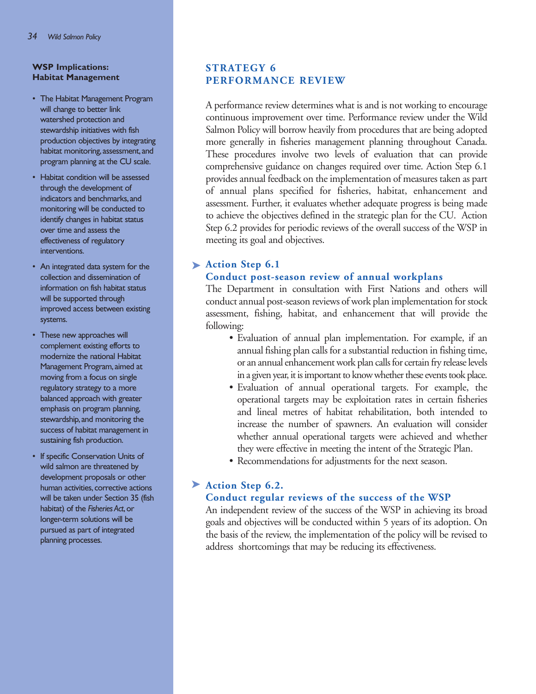#### **WSP Implications: Habitat Management**

- The Habitat Management Program will change to better link watershed protection and stewardship initiatives with fish production objectives by integrating habitat monitoring, assessment, and program planning at the CU scale.
- Habitat condition will be assessed through the development of indicators and benchmarks, and monitoring will be conducted to identify changes in habitat status over time and assess the effectiveness of regulatory interventions.
- An integrated data system for the collection and dissemination of information on fish habitat status will be supported through improved access between existing systems.
- These new approaches will complement existing efforts to modernize the national Habitat Management Program, aimed at moving from a focus on single regulatory strategy to a more balanced approach with greater emphasis on program planning, stewardship, and monitoring the success of habitat management in sustaining fish production.
- If specific Conservation Units of wild salmon are threatened by development proposals or other human activities, corrective actions will be taken under Section 35 (fish habitat) of the *Fisheries Act*,or longer-term solutions will be pursued as part of integrated planning processes.

#### **STRATEGY 6 PERFORMANCE REVIEW**

A performance review determines what is and is not working to encourage continuous improvement over time. Performance review under the Wild Salmon Policy will borrow heavily from procedures that are being adopted more generally in fisheries management planning throughout Canada. These procedures involve two levels of evaluation that can provide comprehensive guidance on changes required over time. Action Step 6.1 provides annual feedback on the implementation of measures taken as part of annual plans specified for fisheries, habitat, enhancement and assessment. Further, it evaluates whether adequate progress is being made to achieve the objectives defined in the strategic plan for the CU. Action Step 6.2 provides for periodic reviews of the overall success of the WSP in meeting its goal and objectives.

## ▶ Action Step 6.1

#### **Conduct post-season review of annual workplans**

The Department in consultation with First Nations and others will conduct annual post-season reviews of work plan implementation for stock assessment, fishing, habitat, and enhancement that will provide the following:

- Evaluation of annual plan implementation. For example, if an annual fishing plan calls for a substantial reduction in fishing time, or an annual enhancement work plan calls for certain fry release levels in a given year, it is important to know whether these events took place.
- Evaluation of annual operational targets. For example, the operational targets may be exploitation rates in certain fisheries and lineal metres of habitat rehabilitation, both intended to increase the number of spawners. An evaluation will consider whether annual operational targets were achieved and whether they were effective in meeting the intent of the Strategic Plan.
- Recommendations for adjustments for the next season.

## ▶ Action Step 6.2.

#### **Conduct regular reviews of the success of the WSP**

An independent review of the success of the WSP in achieving its broad goals and objectives will be conducted within 5 years of its adoption. On the basis of the review, the implementation of the policy will be revised to address shortcomings that may be reducing its effectiveness.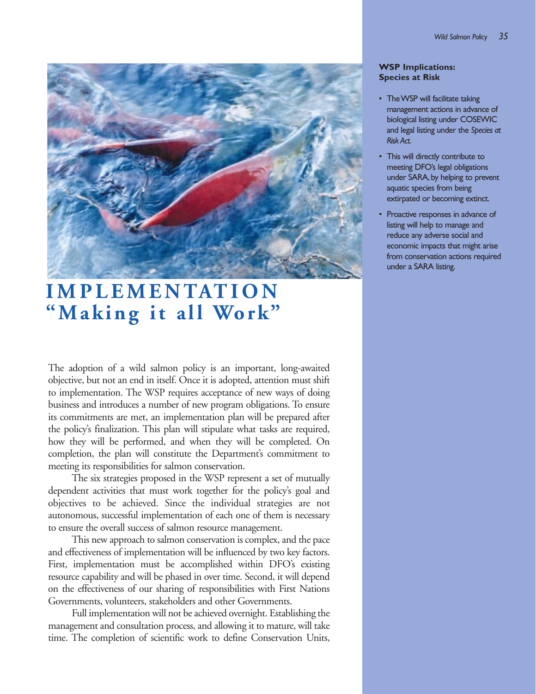

## **IMPLEMENTATION "Making it all Work"**

The adoption of a wild salmon policy is an important, long-awaited objective, but not an end in itself. Once it is adopted, attention must shift to implementation. The WSP requires acceptance of new ways of doing business and introduces a number of new program obligations. To ensure its commitments are met, an implementation plan will be prepared after the policy's finalization. This plan will stipulate what tasks are required, how they will be performed, and when they will be completed. On completion, the plan will constitute the Department's commitment to meeting its responsibilities for salmon conservation.

The six strategies proposed in the WSP represent a set of mutually dependent activities that must work together for the policy's goal and objectives to be achieved. Since the individual strategies are not autonomous, successful implementation of each one of them is necessary to ensure the overall success of salmon resource management.

This new approach to salmon conservation is complex, and the pace and effectiveness of implementation will be influenced by two key factors. First, implementation must be accomplished within DFO's existing resource capability and will be phased in over time. Second, it will depend on the effectiveness of our sharing of responsibilities with First Nations Governments, volunteers, stakeholders and other Governments.

Full implementation will not be achieved overnight. Establishing the management and consultation process, and allowing it to mature, will take time. The completion of scientific work to define Conservation Units,

#### **WSP Implications: Species at Risk**

- The WSP will facilitate taking management actions in advance of biological listing under COSEWIC and legal listing under the *Species at Risk Act*.
- This will directly contribute to meeting DFO's legal obligations under SARA, by helping to prevent aquatic species from being extirpated or becoming extinct.
- Proactive responses in advance of listing will help to manage and reduce any adverse social and economic impacts that might arise from conservation actions required under a SARA listing.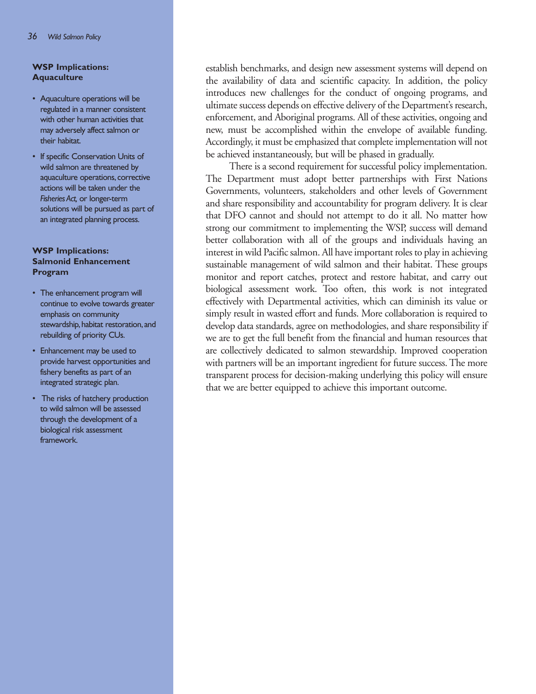#### **WSP Implications: Aquaculture**

- Aquaculture operations will be regulated in a manner consistent with other human activities that may adversely affect salmon or their habitat.
- If specific Conservation Units of wild salmon are threatened by aquaculture operations, corrective actions will be taken under the *Fisheries Act,* or longer-term solutions will be pursued as part of an integrated planning process.

#### **WSP Implications: Salmonid Enhancement Program**

- The enhancement program will continue to evolve towards greater emphasis on community stewardship, habitat restoration, and rebuilding of priority CUs.
- Enhancement may be used to provide harvest opportunities and fishery benefits as part of an integrated strategic plan.
- The risks of hatchery production to wild salmon will be assessed through the development of a biological risk assessment framework.

establish benchmarks, and design new assessment systems will depend on the availability of data and scientific capacity. In addition, the policy introduces new challenges for the conduct of ongoing programs, and ultimate success depends on effective delivery of the Department's research, enforcement, and Aboriginal programs. All of these activities, ongoing and new, must be accomplished within the envelope of available funding. Accordingly, it must be emphasized that complete implementation will not be achieved instantaneously, but will be phased in gradually.

There is a second requirement for successful policy implementation. The Department must adopt better partnerships with First Nations Governments, volunteers, stakeholders and other levels of Government and share responsibility and accountability for program delivery. It is clear that DFO cannot and should not attempt to do it all. No matter how strong our commitment to implementing the WSP, success will demand better collaboration with all of the groups and individuals having an interest in wild Pacific salmon. All have important roles to play in achieving sustainable management of wild salmon and their habitat. These groups monitor and report catches, protect and restore habitat, and carry out biological assessment work. Too often, this work is not integrated effectively with Departmental activities, which can diminish its value or simply result in wasted effort and funds. More collaboration is required to develop data standards, agree on methodologies, and share responsibility if we are to get the full benefit from the financial and human resources that are collectively dedicated to salmon stewardship. Improved cooperation with partners will be an important ingredient for future success. The more transparent process for decision-making underlying this policy will ensure that we are better equipped to achieve this important outcome.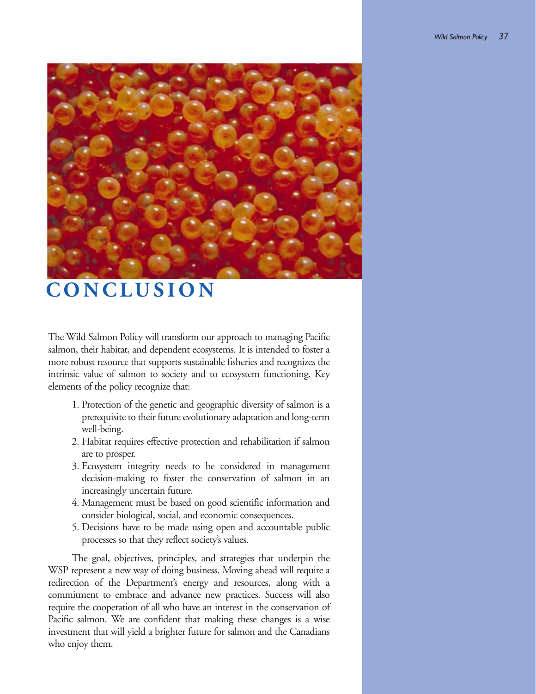

# **CONCLUSION**

The Wild Salmon Policy will transform our approach to managing Pacific salmon, their habitat, and dependent ecosystems. It is intended to foster a more robust resource that supports sustainable fisheries and recognizes the intrinsic value of salmon to society and to ecosystem functioning. Key elements of the policy recognize that:

- 1. Protection of the genetic and geographic diversity of salmon is a prerequisite to their future evolutionary adaptation and long-term well-being.
- 2. Habitat requires effective protection and rehabilitation if salmon are to prosper.
- 3. Ecosystem integrity needs to be considered in management decision-making to foster the conservation of salmon in an increasingly uncertain future.
- 4. Management must be based on good scientific information and consider biological, social, and economic consequences.
- 5. Decisions have to be made using open and accountable public processes so that they reflect society's values.

The goal, objectives, principles, and strategies that underpin the WSP represent a new way of doing business. Moving ahead will require a redirection of the Department's energy and resources, along with a commitment to embrace and advance new practices. Success will also require the cooperation of all who have an interest in the conservation of Pacific salmon. We are confident that making these changes is a wise investment that will yield a brighter future for salmon and the Canadians who enjoy them.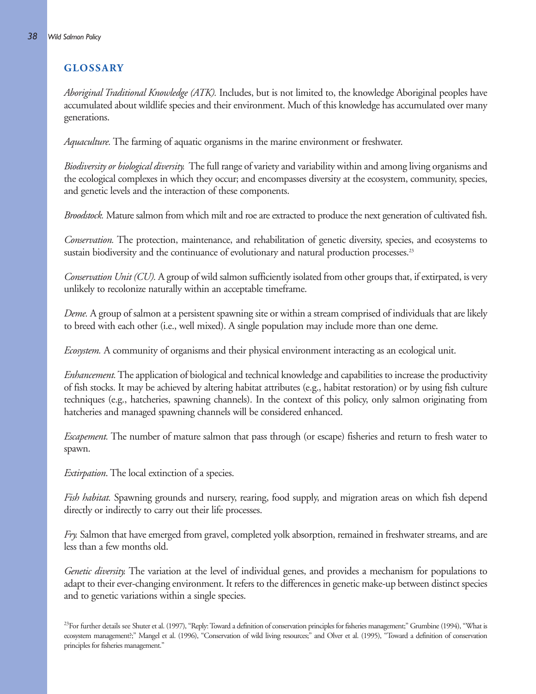## **GLOSSARY**

*Aboriginal Traditional Knowledge (ATK).* Includes, but is not limited to, the knowledge Aboriginal peoples have accumulated about wildlife species and their environment. Much of this knowledge has accumulated over many generations.

*Aquaculture.* The farming of aquatic organisms in the marine environment or freshwater.

*Biodiversity or biological diversity.* The full range of variety and variability within and among living organisms and the ecological complexes in which they occur; and encompasses diversity at the ecosystem, community, species, and genetic levels and the interaction of these components.

*Broodstock.* Mature salmon from which milt and roe are extracted to produce the next generation of cultivated fish.

*Conservation.* The protection, maintenance, and rehabilitation of genetic diversity, species, and ecosystems to sustain biodiversity and the continuance of evolutionary and natural production processes.<sup>23</sup>

*Conservation Unit (CU).* A group of wild salmon sufficiently isolated from other groups that, if extirpated, is very unlikely to recolonize naturally within an acceptable timeframe.

*Deme.* A group of salmon at a persistent spawning site or within a stream comprised of individuals that are likely to breed with each other (i.e., well mixed). A single population may include more than one deme.

*Ecosystem.* A community of organisms and their physical environment interacting as an ecological unit.

*Enhancement.*The application of biological and technical knowledge and capabilities to increase the productivity of fish stocks. It may be achieved by altering habitat attributes (e.g., habitat restoration) or by using fish culture techniques (e.g., hatcheries, spawning channels). In the context of this policy, only salmon originating from hatcheries and managed spawning channels will be considered enhanced.

*Escapement.* The number of mature salmon that pass through (or escape) fisheries and return to fresh water to spawn.

*Extirpation*. The local extinction of a species.

*Fish habitat.* Spawning grounds and nursery, rearing, food supply, and migration areas on which fish depend directly or indirectly to carry out their life processes.

*Fry.* Salmon that have emerged from gravel, completed yolk absorption, remained in freshwater streams, and are less than a few months old.

*Genetic diversity.* The variation at the level of individual genes, and provides a mechanism for populations to adapt to their ever-changing environment. It refers to the differences in genetic make-up between distinct species and to genetic variations within a single species.

 $^{23}$ For further details see Shuter et al. (1997), "Reply: Toward a definition of conservation principles for fisheries management;" Grumbine (1994), "What is ecosystem management?;" Mangel et al. (1996), "Conservation of wild living resources;" and Olver et al. (1995), "Toward a definition of conservation principles for fisheries management."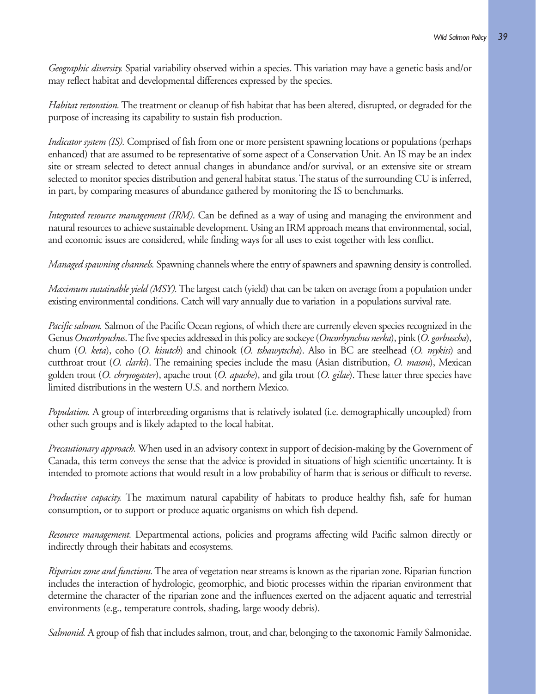*Geographic diversity.* Spatial variability observed within a species. This variation may have a genetic basis and/or may reflect habitat and developmental differences expressed by the species.

*Habitat restoration.*The treatment or cleanup of fish habitat that has been altered, disrupted, or degraded for the purpose of increasing its capability to sustain fish production.

*Indicator system (IS).* Comprised of fish from one or more persistent spawning locations or populations (perhaps enhanced) that are assumed to be representative of some aspect of a Conservation Unit. An IS may be an index site or stream selected to detect annual changes in abundance and/or survival, or an extensive site or stream selected to monitor species distribution and general habitat status. The status of the surrounding CU is inferred, in part, by comparing measures of abundance gathered by monitoring the IS to benchmarks.

*Integrated resource management (IRM)*. Can be defined as a way of using and managing the environment and natural resources to achieve sustainable development. Using an IRM approach means that environmental, social, and economic issues are considered, while finding ways for all uses to exist together with less conflict.

*Managed spawning channels.* Spawning channels where the entry of spawners and spawning density is controlled.

*Maximum sustainable yield (MSY).*The largest catch (yield) that can be taken on average from a population under existing environmental conditions. Catch will vary annually due to variation in a populations survival rate.

*Pacific salmon.* Salmon of the Pacific Ocean regions, of which there are currently eleven species recognized in the Genus *Oncorhynchus*. The five species addressed in this policy are sockeye (*Oncorhynchus nerka*), pink (*O. gorbuscha*), chum (*O. keta*), coho (*O. kisutch*) and chinook (*O. tshawytscha*). Also in BC are steelhead (*O. mykiss*) and cutthroat trout (*O. clarki*). The remaining species include the masu (Asian distribution, *O. masou*), Mexican golden trout (*O. chrysogaster*), apache trout (*O. apache*), and gila trout (*O. gilae*). These latter three species have limited distributions in the western U.S. and northern Mexico.

*Population.* A group of interbreeding organisms that is relatively isolated (i.e. demographically uncoupled) from other such groups and is likely adapted to the local habitat.

*Precautionary approach.* When used in an advisory context in support of decision-making by the Government of Canada, this term conveys the sense that the advice is provided in situations of high scientific uncertainty. It is intended to promote actions that would result in a low probability of harm that is serious or difficult to reverse.

*Productive capacity.* The maximum natural capability of habitats to produce healthy fish, safe for human consumption, or to support or produce aquatic organisms on which fish depend.

*Resource management.* Departmental actions, policies and programs affecting wild Pacific salmon directly or indirectly through their habitats and ecosystems.

*Riparian zone and functions.*The area of vegetation near streams is known as the riparian zone. Riparian function includes the interaction of hydrologic, geomorphic, and biotic processes within the riparian environment that determine the character of the riparian zone and the influences exerted on the adjacent aquatic and terrestrial environments (e.g., temperature controls, shading, large woody debris).

*Salmonid.* A group of fish that includes salmon, trout, and char, belonging to the taxonomic Family Salmonidae.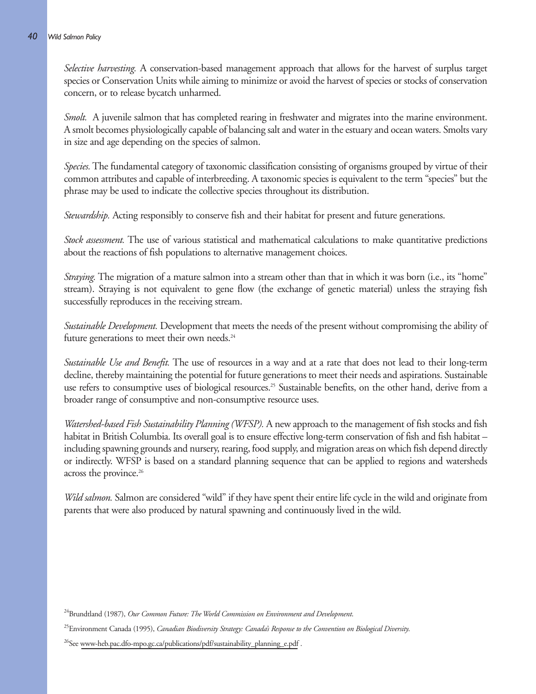*Selective harvesting.* A conservation-based management approach that allows for the harvest of surplus target species or Conservation Units while aiming to minimize or avoid the harvest of species or stocks of conservation concern, or to release bycatch unharmed.

*Smolt.* A juvenile salmon that has completed rearing in freshwater and migrates into the marine environment. A smolt becomes physiologically capable of balancing salt and water in the estuary and ocean waters. Smolts vary in size and age depending on the species of salmon.

*Species.*The fundamental category of taxonomic classification consisting of organisms grouped by virtue of their common attributes and capable of interbreeding. A taxonomic species is equivalent to the term "species" but the phrase may be used to indicate the collective species throughout its distribution.

*Stewardship.* Acting responsibly to conserve fish and their habitat for present and future generations.

*Stock assessment.* The use of various statistical and mathematical calculations to make quantitative predictions about the reactions of fish populations to alternative management choices.

*Straying.* The migration of a mature salmon into a stream other than that in which it was born (i.e., its "home" stream). Straying is not equivalent to gene flow (the exchange of genetic material) unless the straying fish successfully reproduces in the receiving stream.

*Sustainable Development.* Development that meets the needs of the present without compromising the ability of future generations to meet their own needs.<sup>24</sup>

*Sustainable Use and Benefit.* The use of resources in a way and at a rate that does not lead to their long-term decline, thereby maintaining the potential for future generations to meet their needs and aspirations. Sustainable use refers to consumptive uses of biological resources.<sup>25</sup> Sustainable benefits, on the other hand, derive from a broader range of consumptive and non-consumptive resource uses.

*Watershed-based Fish Sustainability Planning (WFSP).* A new approach to the management of fish stocks and fish habitat in British Columbia. Its overall goal is to ensure effective long-term conservation of fish and fish habitat – including spawning grounds and nursery, rearing, food supply, and migration areas on which fish depend directly or indirectly. WFSP is based on a standard planning sequence that can be applied to regions and watersheds across the province.<sup>26</sup>

*Wild salmon.* Salmon are considered "wild" if they have spent their entire life cycle in the wild and originate from parents that were also produced by natural spawning and continuously lived in the wild.

<sup>24</sup>Brundtland (1987), *Our Common Future: The World Commission on Environment and Development*.

<sup>25</sup>Environment Canada (1995), *Canadian Biodiversity Strategy: Canada's Response to the Convention on Biological Diversity*.

<sup>&</sup>lt;sup>26</sup>See www-heb.pac.dfo-mpo.gc.ca/publications/pdf/sustainability\_planning\_e.pdf.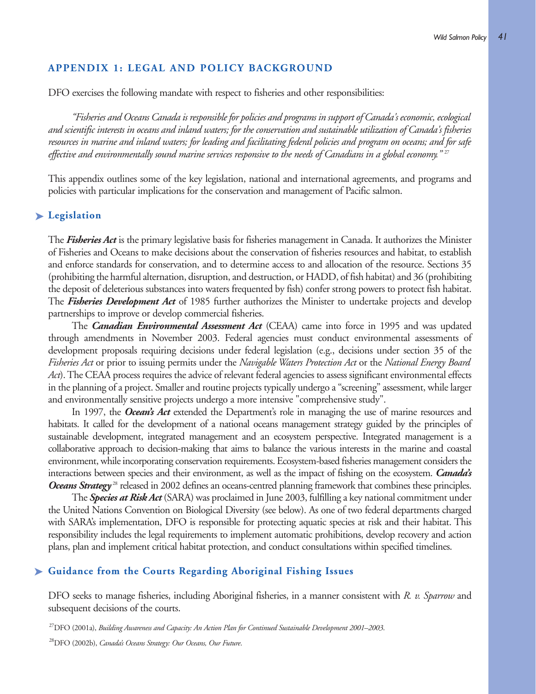#### **APPENDIX 1: LEGAL AND POLICY BACKGROUND**

DFO exercises the following mandate with respect to fisheries and other responsibilities:

*"Fisheries and Oceans Canada is responsible for policies and programs in support of Canada's economic, ecological and scientific interests in oceans and inland waters; for the conservation and sustainable utilization of Canada's fisheries resources in marine and inland waters; for leading and facilitating federal policies and program on oceans; and for safe effective and environmentally sound marine services responsive to the needs of Canadians in a global economy."* <sup>27</sup>

This appendix outlines some of the key legislation, national and international agreements, and programs and policies with particular implications for the conservation and management of Pacific salmon.

## **Legislation** ➤

The *Fisheries Act* is the primary legislative basis for fisheries management in Canada. It authorizes the Minister of Fisheries and Oceans to make decisions about the conservation of fisheries resources and habitat, to establish and enforce standards for conservation, and to determine access to and allocation of the resource. Sections 35 (prohibiting the harmful alternation, disruption, and destruction, or HADD, of fish habitat) and 36 (prohibiting the deposit of deleterious substances into waters frequented by fish) confer strong powers to protect fish habitat. The *Fisheries Development Act* of 1985 further authorizes the Minister to undertake projects and develop partnerships to improve or develop commercial fisheries.

The *Canadian Environmental Assessment Act* (CEAA) came into force in 1995 and was updated through amendments in November 2003. Federal agencies must conduct environmental assessments of development proposals requiring decisions under federal legislation (e.g., decisions under section 35 of the *Fisheries Act* or prior to issuing permits under the *Navigable Waters Protection Act* or the *National Energy Board Act*). The CEAA process requires the advice of relevant federal agencies to assess significant environmental effects in the planning of a project. Smaller and routine projects typically undergo a "screening" assessment, while larger and environmentally sensitive projects undergo a more intensive "comprehensive study".

In 1997, the *Ocean's Act* extended the Department's role in managing the use of marine resources and habitats. It called for the development of a national oceans management strategy guided by the principles of sustainable development, integrated management and an ecosystem perspective. Integrated management is a collaborative approach to decision-making that aims to balance the various interests in the marine and coastal environment, while incorporating conservation requirements. Ecosystem-based fisheries management considers the interactions between species and their environment, as well as the impact of fishing on the ecosystem. *Canada's Oceans Strategy*<sup>28</sup> released in 2002 defines an oceans-centred planning framework that combines these principles.

The *Species at Risk Act* (SARA) was proclaimed in June 2003, fulfilling a key national commitment under the United Nations Convention on Biological Diversity (see below). As one of two federal departments charged with SARA's implementation, DFO is responsible for protecting aquatic species at risk and their habitat. This responsibility includes the legal requirements to implement automatic prohibitions, develop recovery and action plans, plan and implement critical habitat protection, and conduct consultations within specified timelines.

## **Guidance from the Courts Regarding Aboriginal Fishing Issues** ➤

DFO seeks to manage fisheries, including Aboriginal fisheries, in a manner consistent with *R. v. Sparrow* and subsequent decisions of the courts.

27DFO (2001a), *Building Awareness and Capacity: An Action Plan for Continued Sustainable Development 2001–2003*.

28DFO (2002b), *Canada's Oceans Strategy: Our Oceans, Our Future*.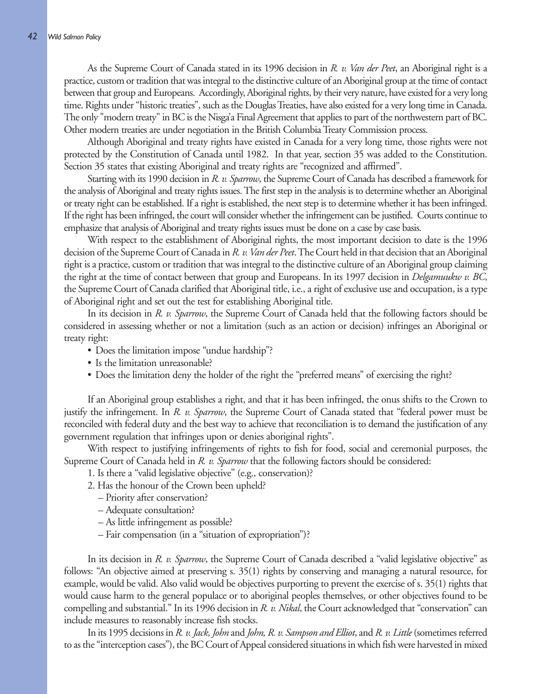As the Supreme Court of Canada stated in its 1996 decision in *R. v. Van der Peet*, an Aboriginal right is a practice, custom or tradition that was integral to the distinctive culture of an Aboriginal group at the time of contact between that group and Europeans. Accordingly, Aboriginal rights, by their very nature, have existed for a very long time. Rights under "historic treaties", such as the Douglas Treaties, have also existed for a very long time in Canada. The only "modern treaty" in BC is the Nisga'a Final Agreement that applies to part of the northwestern part of BC. Other modern treaties are under negotiation in the British Columbia Treaty Commission process.

Although Aboriginal and treaty rights have existed in Canada for a very long time, those rights were not protected by the Constitution of Canada until 1982. In that year, section 35 was added to the Constitution. Section 35 states that existing Aboriginal and treaty rights are "recognized and affirmed".

Starting with its 1990 decision in *R. v. Sparrow*, the Supreme Court of Canada has described a framework for the analysis of Aboriginal and treaty rights issues. The first step in the analysis is to determine whether an Aboriginal or treaty right can be established. If a right is established, the next step is to determine whether it has been infringed. If the right has been infringed, the court will consider whether the infringement can be justified. Courts continue to emphasize that analysis of Aboriginal and treaty rights issues must be done on a case by case basis.

With respect to the establishment of Aboriginal rights, the most important decision to date is the 1996 decision of the Supreme Court of Canada in *R. v. Van der Peet*. The Court held in that decision that an Aboriginal right is a practice, custom or tradition that was integral to the distinctive culture of an Aboriginal group claiming the right at the time of contact between that group and Europeans. In its 1997 decision in *Delgamuukw v. BC*, the Supreme Court of Canada clarified that Aboriginal title, i.e., a right of exclusive use and occupation, is a type of Aboriginal right and set out the test for establishing Aboriginal title.

In its decision in *R. v. Sparrow*, the Supreme Court of Canada held that the following factors should be considered in assessing whether or not a limitation (such as an action or decision) infringes an Aboriginal or treaty right:

- Does the limitation impose "undue hardship"?
- Is the limitation unreasonable?
- Does the limitation deny the holder of the right the "preferred means" of exercising the right?

If an Aboriginal group establishes a right, and that it has been infringed, the onus shifts to the Crown to justify the infringement. In *R. v. Sparrow*, the Supreme Court of Canada stated that "federal power must be reconciled with federal duty and the best way to achieve that reconciliation is to demand the justification of any government regulation that infringes upon or denies aboriginal rights".

With respect to justifying infringements of rights to fish for food, social and ceremonial purposes, the Supreme Court of Canada held in *R. v. Sparrow* that the following factors should be considered:

- 1. Is there a "valid legislative objective" (e.g., conservation)?
- 2. Has the honour of the Crown been upheld?
	- Priority after conservation?
	- Adequate consultation?
	- As little infringement as possible?
	- Fair compensation (in a "situation of expropriation")?

In its decision in *R. v. Sparrow*, the Supreme Court of Canada described a "valid legislative objective" as follows: "An objective aimed at preserving s. 35(1) rights by conserving and managing a natural resource, for example, would be valid. Also valid would be objectives purporting to prevent the exercise of s. 35(1) rights that would cause harm to the general populace or to aboriginal peoples themselves, or other objectives found to be compelling and substantial." In its 1996 decision in *R. v. Nikal*, the Court acknowledged that "conservation" can include measures to reasonably increase fish stocks.

In its 1995 decisions in *R. v. Jack, John* and *John, R. v. Sampson and Elliot*, and *R. v. Little*(sometimes referred to as the "interception cases"), the BC Court of Appeal considered situations in which fish were harvested in mixed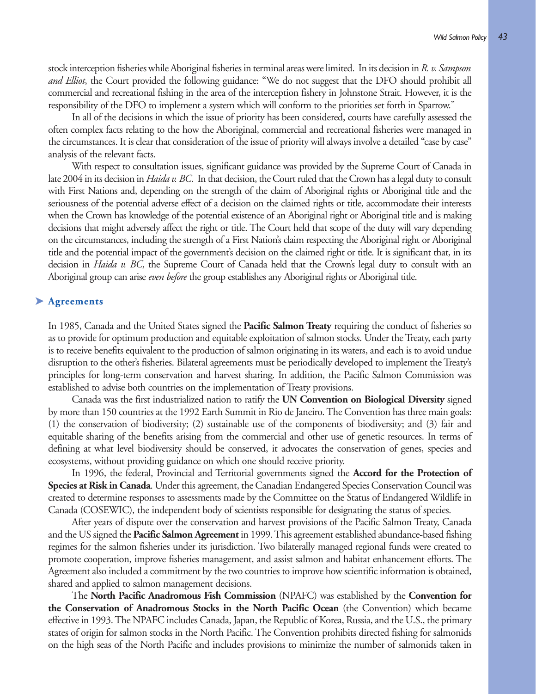stock interception fisheries while Aboriginal fisheries in terminal areas were limited. In its decision in *R. v. Sampson and Elliot*, the Court provided the following guidance: "We do not suggest that the DFO should prohibit all commercial and recreational fishing in the area of the interception fishery in Johnstone Strait. However, it is the responsibility of the DFO to implement a system which will conform to the priorities set forth in Sparrow."

In all of the decisions in which the issue of priority has been considered, courts have carefully assessed the often complex facts relating to the how the Aboriginal, commercial and recreational fisheries were managed in the circumstances. It is clear that consideration of the issue of priority will always involve a detailed "case by case" analysis of the relevant facts.

With respect to consultation issues, significant guidance was provided by the Supreme Court of Canada in late 2004 in its decision in *Haida v. BC*. In that decision, the Court ruled that the Crown has a legal duty to consult with First Nations and, depending on the strength of the claim of Aboriginal rights or Aboriginal title and the seriousness of the potential adverse effect of a decision on the claimed rights or title, accommodate their interests when the Crown has knowledge of the potential existence of an Aboriginal right or Aboriginal title and is making decisions that might adversely affect the right or title. The Court held that scope of the duty will vary depending on the circumstances, including the strength of a First Nation's claim respecting the Aboriginal right or Aboriginal title and the potential impact of the government's decision on the claimed right or title. It is significant that, in its decision in *Haida v. BC*, the Supreme Court of Canada held that the Crown's legal duty to consult with an Aboriginal group can arise *even before* the group establishes any Aboriginal rights or Aboriginal title.

## **Agreements** ➤

In 1985, Canada and the United States signed the **Pacific Salmon Treaty** requiring the conduct of fisheries so as to provide for optimum production and equitable exploitation of salmon stocks. Under the Treaty, each party is to receive benefits equivalent to the production of salmon originating in its waters, and each is to avoid undue disruption to the other's fisheries. Bilateral agreements must be periodically developed to implement the Treaty's principles for long-term conservation and harvest sharing. In addition, the Pacific Salmon Commission was established to advise both countries on the implementation of Treaty provisions.

Canada was the first industrialized nation to ratify the **UN Convention on Biological Diversity** signed by more than 150 countries at the 1992 Earth Summit in Rio de Janeiro. The Convention has three main goals: (1) the conservation of biodiversity; (2) sustainable use of the components of biodiversity; and (3) fair and equitable sharing of the benefits arising from the commercial and other use of genetic resources. In terms of defining at what level biodiversity should be conserved, it advocates the conservation of genes, species and ecosystems, without providing guidance on which one should receive priority.

In 1996, the federal, Provincial and Territorial governments signed the **Accord for the Protection of Species at Risk in Canada**. Under this agreement, the Canadian Endangered Species Conservation Council was created to determine responses to assessments made by the Committee on the Status of Endangered Wildlife in Canada (COSEWIC), the independent body of scientists responsible for designating the status of species.

After years of dispute over the conservation and harvest provisions of the Pacific Salmon Treaty, Canada and the US signed the **Pacific Salmon Agreement** in 1999. This agreement established abundance-based fishing regimes for the salmon fisheries under its jurisdiction. Two bilaterally managed regional funds were created to promote cooperation, improve fisheries management, and assist salmon and habitat enhancement efforts. The Agreement also included a commitment by the two countries to improve how scientific information is obtained, shared and applied to salmon management decisions.

The **North Pacific Anadromous Fish Commission** (NPAFC) was established by the **Convention for the Conservation of Anadromous Stocks in the North Pacific Ocean** (the Convention) which became effective in 1993. The NPAFC includes Canada, Japan, the Republic of Korea, Russia, and the U.S., the primary states of origin for salmon stocks in the North Pacific. The Convention prohibits directed fishing for salmonids on the high seas of the North Pacific and includes provisions to minimize the number of salmonids taken in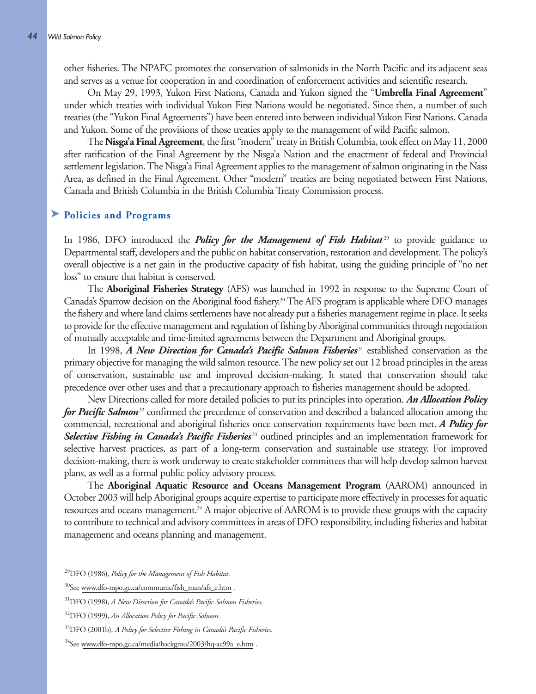other fisheries. The NPAFC promotes the conservation of salmonids in the North Pacific and its adjacent seas and serves as a venue for cooperation in and coordination of enforcement activities and scientific research.

On May 29, 1993, Yukon First Nations, Canada and Yukon signed the "**Umbrella Final Agreement**" under which treaties with individual Yukon First Nations would be negotiated. Since then, a number of such treaties (the "Yukon Final Agreements") have been entered into between individual Yukon First Nations, Canada and Yukon. Some of the provisions of those treaties apply to the management of wild Pacific salmon.

The **Nisga'a Final Agreement**, the first "modern" treaty in British Columbia, took effect on May 11, 2000 after ratification of the Final Agreement by the Nisga'a Nation and the enactment of federal and Provincial settlement legislation. The Nisga'a Final Agreement applies to the management of salmon originating in the Nass Area, as defined in the Final Agreement. Other "modern" treaties are being negotiated between First Nations, Canada and British Columbia in the British Columbia Treaty Commission process.

## ▶ Policies and Programs

In 1986, DFO introduced the *Policy for the Management of Fish Habitat*<sup>29</sup> to provide guidance to Departmental staff, developers and the public on habitat conservation, restoration and development. The policy's overall objective is a net gain in the productive capacity of fish habitat, using the guiding principle of "no net loss" to ensure that habitat is conserved.

The **Aboriginal Fisheries Strategy** (AFS) was launched in 1992 in response to the Supreme Court of Canada's Sparrow decision on the Aboriginal food fishery.30 The AFS program is applicable where DFO manages the fishery and where land claims settlements have not already put a fisheries management regime in place. It seeks to provide for the effective management and regulation of fishing by Aboriginal communities through negotiation of mutually acceptable and time-limited agreements between the Department and Aboriginal groups.

In 1998, *A New Direction for Canada's Pacific Salmon Fisheries*<sup>31</sup> established conservation as the primary objective for managing the wild salmon resource. The new policy set out 12 broad principles in the areas of conservation, sustainable use and improved decision-making. It stated that conservation should take precedence over other uses and that a precautionary approach to fisheries management should be adopted.

New Directions called for more detailed policies to put its principles into operation. *An Allocation Policy for Pacific Salmon*<sup>32</sup> confirmed the precedence of conservation and described a balanced allocation among the commercial, recreational and aboriginal fisheries once conservation requirements have been met. *A Policy for Selective Fishing in Canada's Pacific Fisheries* <sup>33</sup> outlined principles and an implementation framework for selective harvest practices, as part of a long-term conservation and sustainable use strategy. For improved decision-making, there is work underway to create stakeholder committees that will help develop salmon harvest plans, as well as a formal public policy advisory process.

The **Aboriginal Aquatic Resource and Oceans Management Program** (AAROM) announced in October 2003 will help Aboriginal groups acquire expertise to participate more effectively in processes for aquatic resources and oceans management.<sup>34</sup> A major objective of AAROM is to provide these groups with the capacity to contribute to technical and advisory committees in areas of DFO responsibility, including fisheries and habitat management and oceans planning and management.

29DFO (1986), *Policy for the Management of Fish Habitat*.

30See www.dfo-mpo.gc.ca/communic/fish\_man/afs\_e.htm .

32DFO (1999), *An Allocation Policy for Pacific Salmon*.

33DFO (2001b), *A Policy for Selective Fishing in Canada's Pacific Fisheries*.

<sup>34</sup>See www.dfo-mpo.gc.ca/media/backgrou/2003/hq-ac99a\_e.htm.

<sup>31</sup>DFO (1998), *A New Direction for Canada's Pacific Salmon Fisheries*.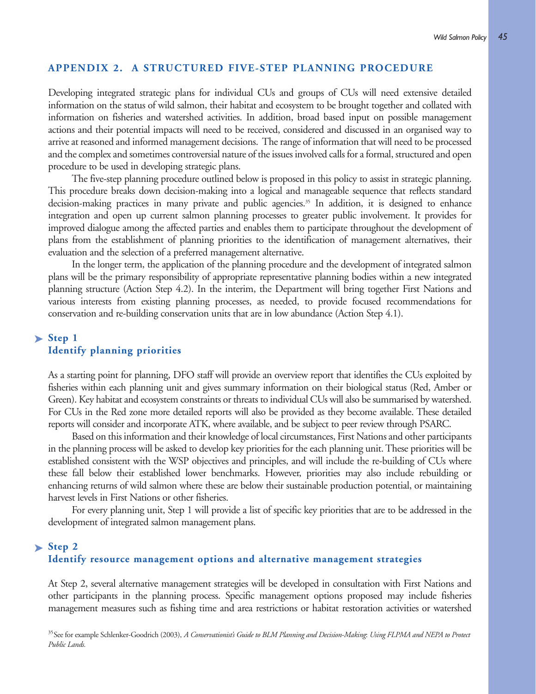#### **APPENDIX 2. A STRUCTURED FIVE-STEP PLANNING PROCEDURE**

Developing integrated strategic plans for individual CUs and groups of CUs will need extensive detailed information on the status of wild salmon, their habitat and ecosystem to be brought together and collated with information on fisheries and watershed activities. In addition, broad based input on possible management actions and their potential impacts will need to be received, considered and discussed in an organised way to arrive at reasoned and informed management decisions. The range of information that will need to be processed and the complex and sometimes controversial nature of the issues involved calls for a formal, structured and open procedure to be used in developing strategic plans.

The five-step planning procedure outlined below is proposed in this policy to assist in strategic planning. This procedure breaks down decision-making into a logical and manageable sequence that reflects standard decision-making practices in many private and public agencies.<sup>35</sup> In addition, it is designed to enhance integration and open up current salmon planning processes to greater public involvement. It provides for improved dialogue among the affected parties and enables them to participate throughout the development of plans from the establishment of planning priorities to the identification of management alternatives, their evaluation and the selection of a preferred management alternative.

In the longer term, the application of the planning procedure and the development of integrated salmon plans will be the primary responsibility of appropriate representative planning bodies within a new integrated planning structure (Action Step 4.2). In the interim, the Department will bring together First Nations and various interests from existing planning processes, as needed, to provide focused recommendations for conservation and re-building conservation units that are in low abundance (Action Step 4.1).

## ▶ Step 1 **Identify planning priorities**

As a starting point for planning, DFO staff will provide an overview report that identifies the CUs exploited by fisheries within each planning unit and gives summary information on their biological status (Red, Amber or Green). Key habitat and ecosystem constraints or threats to individual CUs will also be summarised by watershed. For CUs in the Red zone more detailed reports will also be provided as they become available. These detailed reports will consider and incorporate ATK, where available, and be subject to peer review through PSARC.

Based on this information and their knowledge of local circumstances, First Nations and other participants in the planning process will be asked to develop key priorities for the each planning unit. These priorities will be established consistent with the WSP objectives and principles, and will include the re-building of CUs where these fall below their established lower benchmarks. However, priorities may also include rebuilding or enhancing returns of wild salmon where these are below their sustainable production potential, or maintaining harvest levels in First Nations or other fisheries.

For every planning unit, Step 1 will provide a list of specific key priorities that are to be addressed in the development of integrated salmon management plans.

## **Step 2** ➤ **Identify resource management options and alternative management strategies**

At Step 2, several alternative management strategies will be developed in consultation with First Nations and other participants in the planning process. Specific management options proposed may include fisheries management measures such as fishing time and area restrictions or habitat restoration activities or watershed

35See for example Schlenker-Goodrich (2003), *A Conservationist's Guide to BLM Planning and Decision-Making*: *Using FLPMA and NEPA to Protect Public Lands.*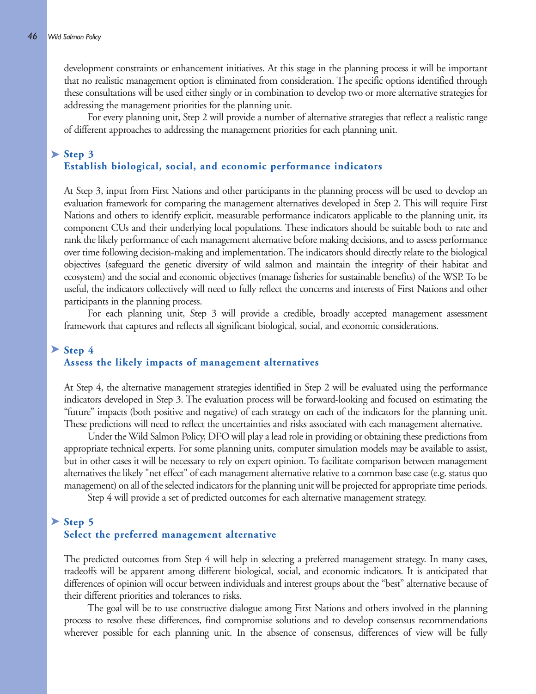development constraints or enhancement initiatives. At this stage in the planning process it will be important that no realistic management option is eliminated from consideration. The specific options identified through these consultations will be used either singly or in combination to develop two or more alternative strategies for addressing the management priorities for the planning unit.

For every planning unit, Step 2 will provide a number of alternative strategies that reflect a realistic range of different approaches to addressing the management priorities for each planning unit.

## **Step 3**  ➤

#### **Establish biological, social, and economic performance indicators**

At Step 3, input from First Nations and other participants in the planning process will be used to develop an evaluation framework for comparing the management alternatives developed in Step 2. This will require First Nations and others to identify explicit, measurable performance indicators applicable to the planning unit, its component CUs and their underlying local populations. These indicators should be suitable both to rate and rank the likely performance of each management alternative before making decisions, and to assess performance over time following decision-making and implementation. The indicators should directly relate to the biological objectives (safeguard the genetic diversity of wild salmon and maintain the integrity of their habitat and ecosystem) and the social and economic objectives (manage fisheries for sustainable benefits) of the WSP. To be useful, the indicators collectively will need to fully reflect the concerns and interests of First Nations and other participants in the planning process.

For each planning unit, Step 3 will provide a credible, broadly accepted management assessment framework that captures and reflects all significant biological, social, and economic considerations.

#### **Step 4**  ➤**Assess the likely impacts of management alternatives**

At Step 4, the alternative management strategies identified in Step 2 will be evaluated using the performance indicators developed in Step 3. The evaluation process will be forward-looking and focused on estimating the "future" impacts (both positive and negative) of each strategy on each of the indicators for the planning unit. These predictions will need to reflect the uncertainties and risks associated with each management alternative.

Under the Wild Salmon Policy, DFO will play a lead role in providing or obtaining these predictions from appropriate technical experts. For some planning units, computer simulation models may be available to assist, but in other cases it will be necessary to rely on expert opinion. To facilitate comparison between management alternatives the likely "net effect" of each management alternative relative to a common base case (e.g. status quo management) on all of the selected indicators for the planning unit will be projected for appropriate time periods.

Step 4 will provide a set of predicted outcomes for each alternative management strategy.

## ▶ Step 5 **Select the preferred management alternative**

The predicted outcomes from Step 4 will help in selecting a preferred management strategy. In many cases, tradeoffs will be apparent among different biological, social, and economic indicators. It is anticipated that differences of opinion will occur between individuals and interest groups about the "best" alternative because of their different priorities and tolerances to risks.

The goal will be to use constructive dialogue among First Nations and others involved in the planning process to resolve these differences, find compromise solutions and to develop consensus recommendations wherever possible for each planning unit. In the absence of consensus, differences of view will be fully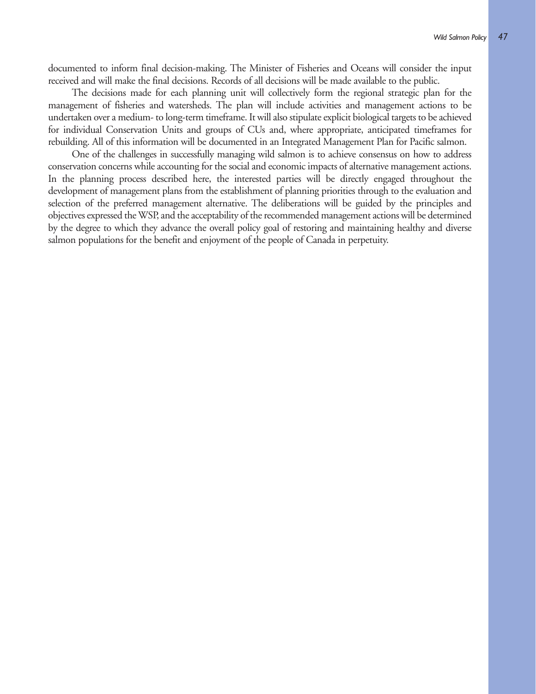documented to inform final decision-making. The Minister of Fisheries and Oceans will consider the input received and will make the final decisions. Records of all decisions will be made available to the public.

The decisions made for each planning unit will collectively form the regional strategic plan for the management of fisheries and watersheds. The plan will include activities and management actions to be undertaken over a medium- to long-term timeframe. It will also stipulate explicit biological targets to be achieved for individual Conservation Units and groups of CUs and, where appropriate, anticipated timeframes for rebuilding. All of this information will be documented in an Integrated Management Plan for Pacific salmon.

One of the challenges in successfully managing wild salmon is to achieve consensus on how to address conservation concerns while accounting for the social and economic impacts of alternative management actions. In the planning process described here, the interested parties will be directly engaged throughout the development of management plans from the establishment of planning priorities through to the evaluation and selection of the preferred management alternative. The deliberations will be guided by the principles and objectives expressed the WSP, and the acceptability of the recommended management actions will be determined by the degree to which they advance the overall policy goal of restoring and maintaining healthy and diverse salmon populations for the benefit and enjoyment of the people of Canada in perpetuity.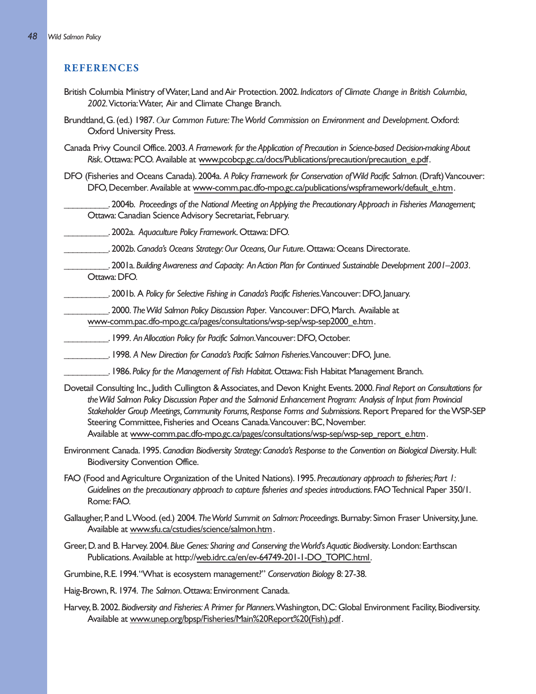### **REFERENCES**

- British Columbia Ministry of Water,Land and Air Protection.2002. *Indicators of Climate Change in British Columbia*, *2002.*Victoria:Water, Air and Climate Change Branch.
- Brundtland,G.(ed.) 1987.*Our Common Future:The World Commission on Environment and Development*.Oxford: Oxford University Press.
- Canada Privy Council Office.2003.*A Framework for the Application of Precaution in Science-based Decision-making About Risk*.Ottawa:PCO. Available at www.pcobcp.gc.ca/docs/Publications/precaution/precaution\_e.pdf.
- DFO (Fisheries and Oceans Canada).2004a. *A Policy Framework for Conservation of Wild Pacific Salmon.*(Draft) Vancouver: DFO, December. Available at www-comm.pac.dfo-mpo.gc.ca/publications/wspframework/default\_e.htm.

\_\_\_\_\_\_\_\_\_\_.2004b. *Proceedings of the National Meeting on Applying the Precautionary Approach in Fisheries Management;* Ottawa: Canadian Science Advisory Secretariat, February.

\_\_\_\_\_\_\_\_\_\_.2002a. *Aquaculture Policy Framework*.Ottawa:DFO.

\_\_\_\_\_\_\_\_\_\_.2002b.*Canada's Oceans Strategy:Our Oceans,Our Future*.Ottawa:Oceans Directorate.

\_\_\_\_\_\_\_\_\_\_.2001a.*Building Awareness and Capacity: An Action Plan for Continued Sustainable Development 2001–2003*. Ottawa:DFO.

\_\_\_\_\_\_\_\_\_\_.2001b. A *Policy for Selective Fishing in Canada's Pacific Fisheries*.Vancouver:DFO,January.

\_\_\_\_\_\_\_\_\_\_.2000.*The Wild Salmon Policy Discussion Paper*. Vancouver:DFO,March. Available at www-comm.pac.dfo-mpo.gc.ca/pages/consultations/wsp-sep/wsp-sep2000\_e.htm.

\_\_\_\_\_\_\_\_\_\_.1999. *An Allocation Policy for Pacific Salmon*.Vancouver:DFO,October.

\_\_\_\_\_\_\_\_\_\_.1998. *A New Direction for Canada's Pacific Salmon Fisheries*.Vancouver:DFO, June.

- \_\_\_\_\_\_\_\_\_\_.1986. *Policy for the Management of Fish Habitat*.Ottawa:Fish Habitat Management Branch.
- Dovetail Consulting Inc.,Judith Cullington & Associates,and Devon Knight Events.2000. *Final Report on Consultations for the Wild Salmon Policy Discussion Paper and the Salmonid Enhancement Program: Analysis of Input from Provincial Stakeholder Group Meetings,Community Forums,Response Forms and Submissions*.Report Prepared for the WSP-SEP Steering Committee, Fisheries and Oceans Canada.Vancouver: BC, November. Available at www-comm.pac.dfo-mpo.gc.ca/pages/consultations/wsp-sep/wsp-sep\_report\_e.htm.
- Environment Canada.1995.*Canadian Biodiversity Strategy:Canada's Response to the Convention on Biological Diversity*.Hull: Biodiversity Convention Office.
- FAO (Food and Agriculture Organization of the United Nations).1995. *Precautionary approach to fisheries;Part 1: Guidelines on the precautionary approach to capture fisheries and species introductions*.FAO Technical Paper 350/1. Rome:FAO.
- Gallaugher, P. and L.Wood. (ed.) 2004. The World Summit on Salmon: Proceedings. Burnaby: Simon Fraser University, June. Available at www.sfu.ca/cstudies/science/salmon.htm.
- Greer, D. and B. Harvey. 2004. Blue Genes: Sharing and Conserving the World's Aquatic Biodiversity. London: Earthscan Publications. Available at http://web.idrc.ca/en/ev-64749-201-1-DO\_TOPIC.html.
- Grumbine,R.E.1994."What is ecosystem management?" *Conservation Biology* 8:27-38.
- Haig-Brown,R.1974. *The Salmon*.Ottawa:Environment Canada.
- Harvey,B.2002.*Biodiversity and Fisheries: A Primer for Planners*.Washington,DC:Global Environment Facility,Biodiversity. Available at www.unep.org/bpsp/Fisheries/Main%20Report%20(Fish).pdf.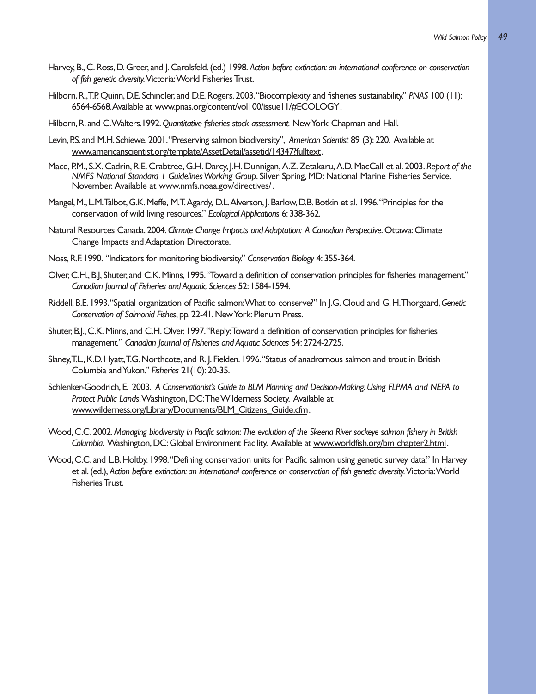- Harvey,B.,C.Ross,D.Greer,and J.Carolsfeld.(ed.) 1998. *Action before extinction:an international conference on conservation of fish genetic diversity.*Victoria:World Fisheries Trust.
- Hilborn,R.,T.P.Quinn,D.E.Schindler,and D.E.Rogers.2003."Biocomplexity and fisheries sustainability." *PNAS* 100 (11): 6564-6568.Available at www.pnas.org/content/vol100/issue11/#ECOLOGY.
- Hilborn,R.and C.Walters.1992.*Quantitative fisheries stock assessment.* New York:Chapman and Hall.
- Levin,P.S.and M.H.Schiewe.2001."Preserving salmon biodiversity", *American Scientist* 89 (3):220. Available at www.americanscientist.org/template/AssetDetail/assetid/14347?fulltext.
- Mace,P.M.,S.X.Cadrin,R.E.Crabtree,G.H.Darcy,J.H.Dunnigan,A.Z.Zetakaru,A.D.MacCall et al.2003.*Report of the NMFS National Standard 1 Guidelines Working Group*. Silver Spring, MD: National Marine Fisheries Service, November. Available at www.nmfs.noaa.gov/directives/.
- Mangel,M.,L.M.Talbot,G.K.Meffe, M.T.Agardy, D.L.Alverson,J.Barlow,D.B.Botkin et al.1996."Principles for the conservation of wild living resources." *Ecological Applications* 6:338-362.
- Natural Resources Canada.2004.*Climate Change Impacts and Adaptation: A Canadian Perspective*.Ottawa:Climate Change Impacts and Adaptation Directorate.
- Noss,R.F.1990. "Indicators for monitoring biodiversity." *Conservation Biology* 4:355-364.
- Olver,C.H.,B.J,Shuter,and C.K.Minns,1995."Toward a definition of conservation principles for fisheries management." *Canadian Journal of Fisheries and Aquatic Sciences* 52:1584-1594.
- Riddell,B.E.1993."Spatial organization of Pacific salmon:What to conserve?" In J.G.Cloud and G.H.Thorgaard,*Genetic Conservation of Salmonid Fishes, pp.* 22-41. New York: Plenum Press.
- Shuter, B.J., C.K. Minns, and C.H. Olver. 1997. "Reply: Toward a definition of conservation principles for fisheries management*.*" *Canadian Journal of Fisheries and Aquatic Sciences* 54:2724-2725.
- Slaney, T.L., K.D. Hyatt, T.G. Northcote, and R. J. Fielden. 1996. "Status of anadromous salmon and trout in British Columbia and Yukon." *Fisheries* 21(10):20-35.
- Schlenker-Goodrich,E. 2003. *A Conservationist's Guide to BLM Planning and Decision-Making:Using FLPMA and NEPA to Protect Public Lands*.Washington, DC:The Wilderness Society. Available at www.wilderness.org/Library/Documents/BLM\_Citizens\_Guide.cfm.
- Wood,C.C.2002.*Managing biodiversity in Pacific salmon:The evolution of the Skeena River sockeye salmon fishery in British Columbia*. Washington,DC:Global Environment Facility. Available at www.worldfish.org/bm chapter2.html.
- Wood,C.C.and L.B.Holtby.1998."Defining conservation units for Pacific salmon using genetic survey data." In Harvey et al.(ed.), *Action before extinction:an international conference on conservation of fish genetic diversity.*Victoria:World Fisheries Trust.